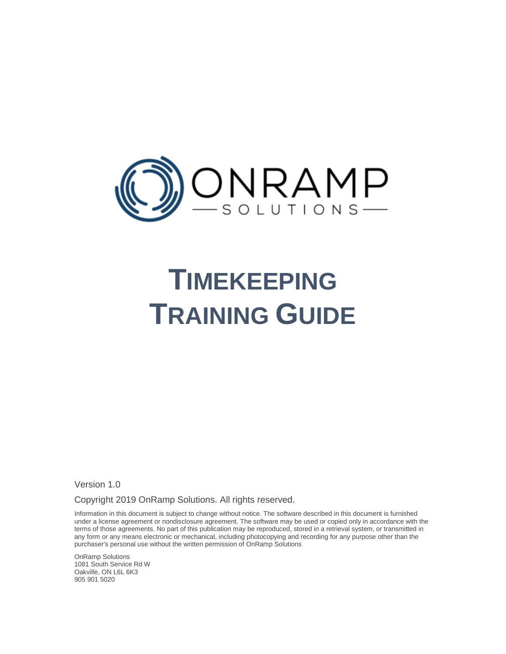

# **TIMEKEEPING TRAINING GUIDE**

Version 1.0

Copyright 2019 OnRamp Solutions. All rights reserved.

Information in this document is subject to change without notice. The software described in this document is furnished under a license agreement or nondisclosure agreement. The software may be used or copied only in accordance with the terms of those agreements. No part of this publication may be reproduced, stored in a retrieval system, or transmitted in any form or any means electronic or mechanical, including photocopying and recording for any purpose other than the purchaser's personal use without the written permission of OnRamp Solutions

OnRamp Solutions 1081 South Service Rd W Oakville, ON L6L 6K3 905 901 5020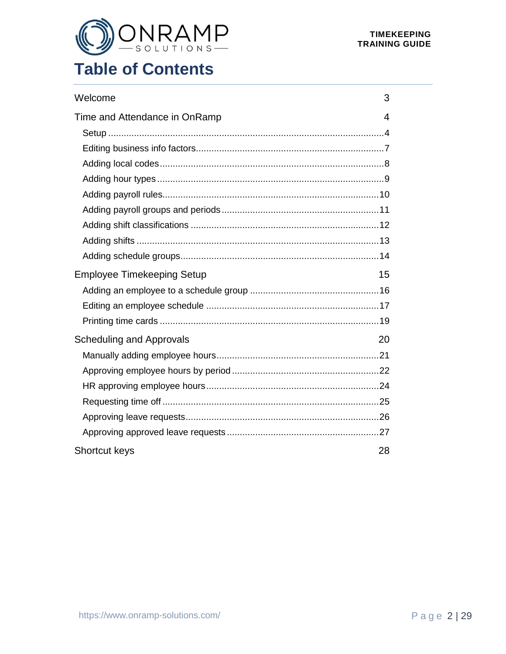

# **Table of Contents**

| Welcome                           | 3  |
|-----------------------------------|----|
| Time and Attendance in OnRamp     | 4  |
|                                   |    |
|                                   |    |
|                                   |    |
|                                   |    |
|                                   |    |
|                                   |    |
|                                   |    |
|                                   |    |
|                                   |    |
| <b>Employee Timekeeping Setup</b> | 15 |
|                                   |    |
|                                   |    |
|                                   |    |
| <b>Scheduling and Approvals</b>   | 20 |
|                                   |    |
|                                   |    |
|                                   |    |
|                                   |    |
|                                   |    |
|                                   |    |
| <b>Shortcut keys</b>              | 28 |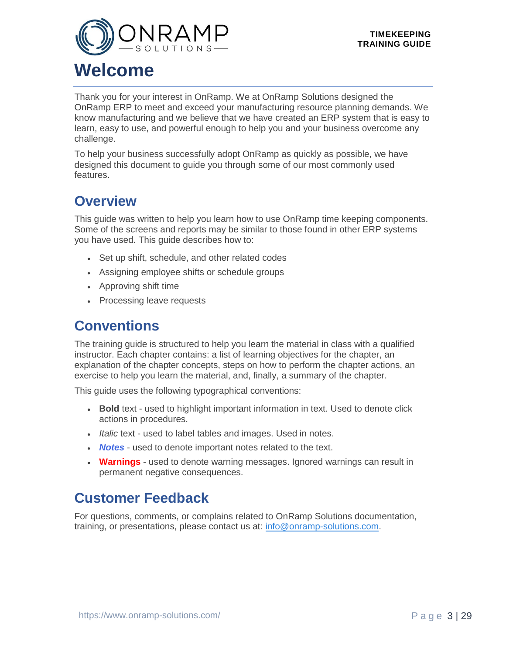<span id="page-2-0"></span>

# **Welcome**

Thank you for your interest in OnRamp. We at OnRamp Solutions designed the OnRamp ERP to meet and exceed your manufacturing resource planning demands. We know manufacturing and we believe that we have created an ERP system that is easy to learn, easy to use, and powerful enough to help you and your business overcome any challenge.

To help your business successfully adopt OnRamp as quickly as possible, we have designed this document to guide you through some of our most commonly used features.

### **Overview**

This guide was written to help you learn how to use OnRamp time keeping components. Some of the screens and reports may be similar to those found in other ERP systems you have used. This guide describes how to:

- Set up shift, schedule, and other related codes
- Assigning employee shifts or schedule groups
- Approving shift time
- Processing leave requests

### **Conventions**

The training guide is structured to help you learn the material in class with a qualified instructor. Each chapter contains: a list of learning objectives for the chapter, an explanation of the chapter concepts, steps on how to perform the chapter actions, an exercise to help you learn the material, and, finally, a summary of the chapter.

This guide uses the following typographical conventions:

- **Bold** text used to highlight important information in text. Used to denote click actions in procedures.
- *Italic* text used to label tables and images. Used in notes.
- *Notes* used to denote important notes related to the text.
- **Warnings** used to denote warning messages. Ignored warnings can result in permanent negative consequences.

### **Customer Feedback**

For questions, comments, or complains related to OnRamp Solutions documentation, training, or presentations, please contact us at: [info@onramp-solutions.com.](mailto:info@onramp-solutions.com?subject=I%20have%20something%20to%20say)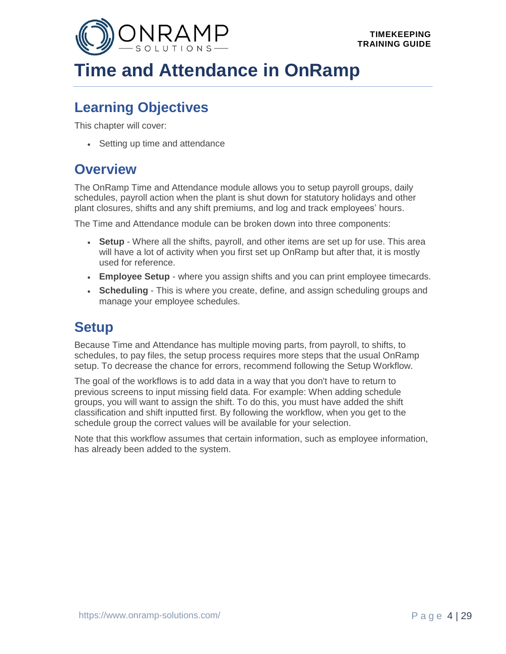<span id="page-3-0"></span>

# **Time and Attendance in OnRamp**

### **Learning Objectives**

This chapter will cover:

• Setting up time and attendance

### **Overview**

The OnRamp Time and Attendance module allows you to setup payroll groups, daily schedules, payroll action when the plant is shut down for statutory holidays and other plant closures, shifts and any shift premiums, and log and track employees' hours.

The Time and Attendance module can be broken down into three components:

- **Setup** Where all the shifts, payroll, and other items are set up for use. This area will have a lot of activity when you first set up OnRamp but after that, it is mostly used for reference.
- **Employee Setup** where you assign shifts and you can print employee timecards.
- **Scheduling** This is where you create, define, and assign scheduling groups and manage your employee schedules.

### <span id="page-3-1"></span>**Setup**

Because Time and Attendance has multiple moving parts, from payroll, to shifts, to schedules, to pay files, the setup process requires more steps that the usual OnRamp setup. To decrease the chance for errors, recommend following the Setup Workflow.

The goal of the workflows is to add data in a way that you don't have to return to previous screens to input missing field data. For example: When adding schedule groups, you will want to assign the shift. To do this, you must have added the shift classification and shift inputted first. By following the workflow, when you get to the schedule group the correct values will be available for your selection.

Note that this workflow assumes that certain information, such as employee information, has already been added to the system.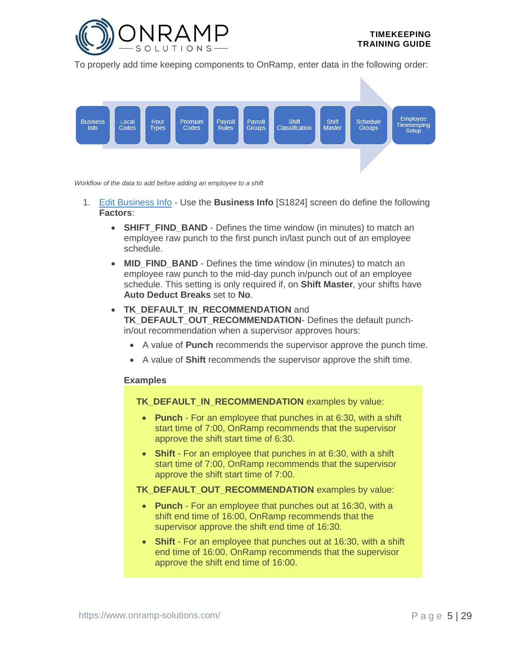

To properly add time keeping components to OnRamp, enter data in the following order:



*Workflow of the data to add before adding an employee to a shift*

- 1. [Edit Business Info](#page-6-0) Use the **Business Info** [S1824] screen do define the following **Factors**:
	- **SHIFT FIND BAND** Defines the time window (in minutes) to match an employee raw punch to the first punch in/last punch out of an employee schedule.
	- **MID\_FIND\_BAND** Defines the time window (in minutes) to match an employee raw punch to the mid-day punch in/punch out of an employee schedule. This setting is only required if, on **Shift Master**, your shifts have **Auto Deduct Breaks** set to **No**.
	- **TK DEFAULT IN RECOMMENDATION** and **TK\_DEFAULT\_OUT\_RECOMMENDATION**- Defines the default punchin/out recommendation when a supervisor approves hours:
		- A value of **Punch** recommends the supervisor approve the punch time.
		- A value of **Shift** recommends the supervisor approve the shift time.

#### **Examples**

**TK\_DEFAULT\_IN\_RECOMMENDATION** examples by value:

- **Punch** For an employee that punches in at 6:30, with a shift start time of 7:00, OnRamp recommends that the supervisor approve the shift start time of 6:30.
- **Shift** For an employee that punches in at 6:30, with a shift start time of 7:00, OnRamp recommends that the supervisor approve the shift start time of 7:00.
- **TK\_DEFAULT\_OUT\_RECOMMENDATION** examples by value:
	- **Punch** For an employee that punches out at 16:30, with a shift end time of 16:00, OnRamp recommends that the supervisor approve the shift end time of 16:30.
	- **Shift** For an employee that punches out at 16:30, with a shift end time of 16:00, OnRamp recommends that the supervisor approve the shift end time of 16:00.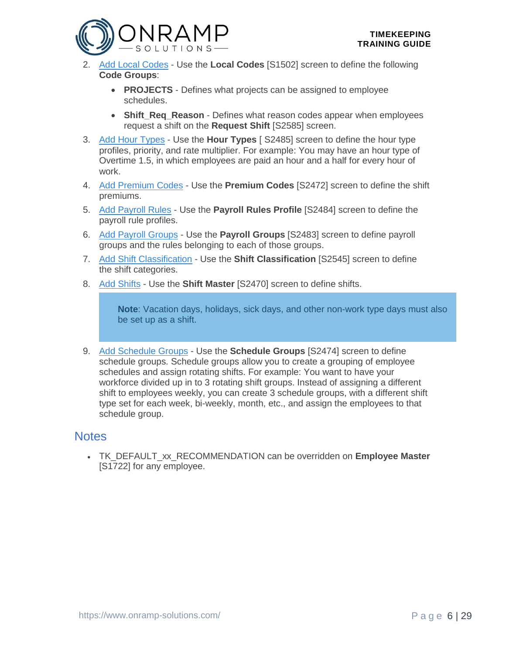

- 2. Add [Local Codes](#page-7-0) Use the **Local Codes** [S1502] screen to define the following **Code Groups**:
	- **PROJECTS** Defines what projects can be assigned to employee schedules.
	- **Shift Reg Reason** Defines what reason codes appear when employees request a shift on the **Request Shift** [S2585] screen.
- 3. [Add Hour Types](#page-8-0) Use the **Hour Types** [ S2485] screen to define the hour type profiles, priority, and rate multiplier. For example: You may have an hour type of Overtime 1.5, in which employees are paid an hour and a half for every hour of work.
- 4. [Add Premium Codes](file:///C:/Users/phenriques/Documents/ORS_Help/Content/Main/General/Time_Attendance/p_Manage_Premium_Codes.htm) Use the **Premium Codes** [S2472] screen to define the shift premiums.
- 5. [Add Payroll Rules](#page-8-1) Use the **Payroll Rules Profile** [S2484] screen to define the payroll rule profiles.
- 6. [Add Payroll Groups](#page-10-0) Use the **Payroll Groups** [S2483] screen to define payroll groups and the rules belonging to each of those groups.
- 7. [Add Shift Classification](#page-11-0) Use the **Shift Classification** [S2545] screen to define the shift categories.
- 8. [Add Shifts](#page-12-0) Use the **Shift Master** [S2470] screen to define shifts.

**Note**: Vacation days, holidays, sick days, and other non-work type days must also be set up as a shift.

9. [Add Schedule Groups](#page-13-0) - Use the **Schedule Groups** [S2474] screen to define schedule groups. Schedule groups allow you to create a grouping of employee schedules and assign rotating shifts. For example: You want to have your workforce divided up in to 3 rotating shift groups. Instead of assigning a different shift to employees weekly, you can create 3 schedule groups, with a different shift type set for each week, bi-weekly, month, etc., and assign the employees to that schedule group.

#### **Notes**

• TK\_DEFAULT\_xx\_RECOMMENDATION can be overridden on **Employee Master** [S1722] for any employee.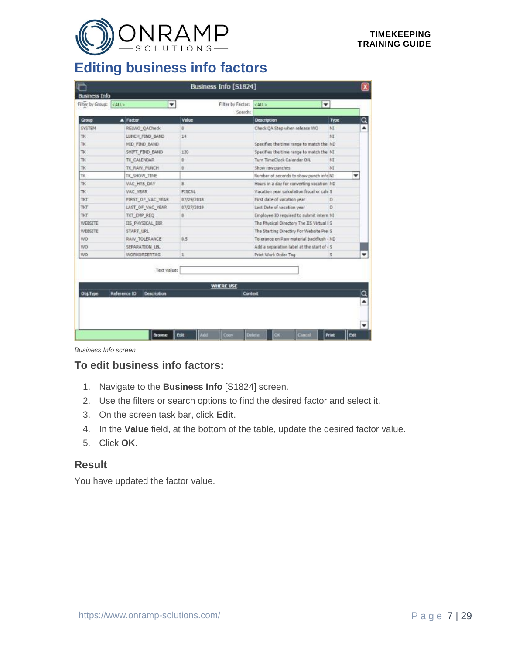

### <span id="page-6-0"></span>**Editing business info factors**

|                 | Filter by Group: <all><br/>۰</all>                       | Filter by Factor:<br>Search:       | ٠<br>$<$ ALL $>$                           |      |   |
|-----------------|----------------------------------------------------------|------------------------------------|--------------------------------------------|------|---|
| Group           | A Factor                                                 | Value                              | <b>Description</b>                         | Type | Q |
| <b>SYSTEM</b>   | RELWO QACheck                                            | ø.                                 | Check QA Step when release WO              | MI   | ▲ |
| TK              | LUNCH_FIND_BAND                                          | 14                                 |                                            | NI   |   |
| TK.             | MID_FIND_BAND                                            |                                    | Specifies the time range to match the ND   |      |   |
| TK.             | SHIFT FIND BAND                                          | 120                                | Specifies the time range to match the NI   |      |   |
| TK              | TK CALENDAR                                              | o.                                 | Turn TimeClock Calendar ON,                | NI   |   |
| TK              | TK_RAW_PUNCH                                             | Đ.                                 | Show raw punches                           | NI   |   |
| TK.             | TK SHOW TIME                                             |                                    | Number of seconds to show punch info NI    |      |   |
| TK              | VAC HRS DAY                                              | B                                  | Hours in a day for converting vacation ND  |      |   |
| TK              | VAC_YEAR                                                 | <b>FISCAL</b>                      | Vacation year calculation fiscal or cale S |      |   |
| TKT             | FIRST OF VAC YEAR                                        | 07/29/2018                         | First date of vacation year                | D    |   |
| TKT             | LAST OF VAC YEAR                                         | 07/27/2019                         | Last Date of vacation year                 | Ò    |   |
| TKT             | TKT EMP REQ                                              | $\mathbb{D}$                       | Employee ID required to submit intern NI   |      |   |
| WEBSITE         | IIS PHYSICAL DIR                                         |                                    | The Physical Directory The IIS Virtual IS  |      |   |
| WEBSITE         | START URL                                                |                                    | The Starting Directiry For Website Pre S   |      |   |
| WO              | RAW_TOLERANCE                                            | 0.5                                | Tolerance on Rays material backflush - ND  |      |   |
| WO <sup>.</sup> | SEPARATION LBL                                           |                                    | Add a separation label at the start of <5  |      |   |
| WO.             | <b>WORKORDERTAG</b>                                      | $\mathbf{1}$                       | Print Work Order Tag                       | Is.  |   |
| Obj.Type        | Text Value:<br><b>Reference ID</b><br><b>Description</b> | <b>WHERE USE</b><br><b>Context</b> |                                            |      |   |

*Business Info screen*

#### **To edit business info factors:**

- 1. Navigate to the **Business Info** [S1824] screen.
- 2. Use the filters or search options to find the desired factor and select it.
- 3. On the screen task bar, click **Edit**.
- 4. In the **Value** field, at the bottom of the table, update the desired factor value.
- 5. Click **OK**.

#### **Result**

You have updated the factor value.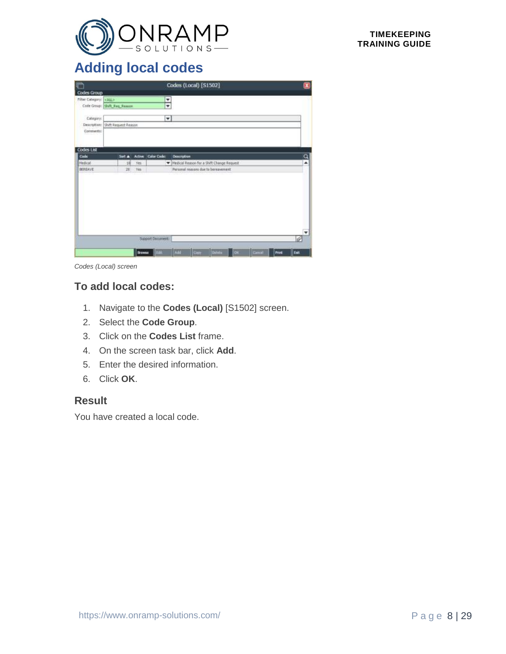

### <span id="page-7-0"></span>**Adding local codes**

| r                      |                                  |               |                      |             | Codes (Local) [S1502]                       |               |            |      |      | $\mathbf{x}$            |
|------------------------|----------------------------------|---------------|----------------------|-------------|---------------------------------------------|---------------|------------|------|------|-------------------------|
| Codes Group            |                                  |               |                      |             |                                             |               |            |      |      |                         |
| Filter Cabegory: KAIL> |                                  |               | Y                    |             |                                             |               |            |      |      |                         |
|                        | Code Group: Shift_Req_Reason     |               | ۰                    |             |                                             |               |            |      |      |                         |
| Category:              |                                  |               | $\blacktriangledown$ |             |                                             |               |            |      |      |                         |
|                        | Description: SNft Request Reason |               |                      |             |                                             |               |            |      |      |                         |
| Comments               |                                  |               |                      |             |                                             |               |            |      |      |                         |
|                        |                                  |               |                      |             |                                             |               |            |      |      |                         |
| Codes List             |                                  |               |                      |             |                                             |               |            |      |      |                         |
| Code                   | Sort A                           |               | Active Color Code:   | Description |                                             |               |            |      |      | $\overline{\mathbf{a}}$ |
| Medical                | 18                               | <b>Yes</b>    |                      |             | W Medical Reason for a Shift Change Request |               |            |      |      | ۰                       |
| BEREAVE                | 28                               | Yes           |                      |             | Personal reasons due to benuvement.         |               |            |      |      |                         |
|                        |                                  |               |                      |             |                                             |               |            |      |      |                         |
|                        |                                  |               |                      |             |                                             |               |            |      |      |                         |
|                        |                                  |               | Support Document:    |             |                                             |               |            |      |      | ٠                       |
|                        |                                  | <b>Browne</b> | <b>ITEM</b>          | Add         | Carr <sup>.</sup>                           | <b>Defetu</b> | <b>TOK</b> | Gmil | Inve | Est                     |

*Codes (Local) screen*

#### **To add local codes:**

- 1. Navigate to the **Codes (Local)** [S1502] screen.
- 2. Select the **Code Group**.
- 3. Click on the **Codes List** frame.
- 4. On the screen task bar, click **Add**.
- 5. Enter the desired information.
- 6. Click **OK**.

#### **Result**

You have created a local code.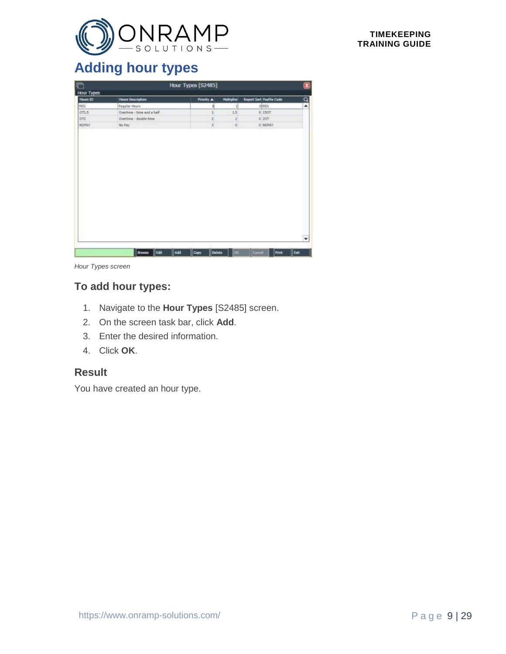

### <span id="page-8-0"></span>**Adding hour types**

| r                 |                            | Hour Types [S2485]    |            |                                 | $\bullet$ |
|-------------------|----------------------------|-----------------------|------------|---------------------------------|-----------|
| <b>Hour Types</b> |                            |                       |            |                                 |           |
| Hours ID          | <b>Hours Dearmption</b>    | Priority A            | Multiplier | <b>Report Sart Payfile Code</b> | $\alpha$  |
| REG               | Regular Hours'             | ti                    | 1          | <b>O</b> REG                    | ۰         |
| OT1.5             | Overtime - time and a half | ı                     | 1.5        | 0 150T                          |           |
| OT2               | Overtime - double time     | ï                     | z          | 0.20T                           |           |
| NOPAY             | No Pay                     | 1                     | D          | 0 NOPAY                         |           |
|                   |                            |                       |            |                                 | ۰         |
|                   | Browne Edit                | Add<br>Delete<br>Copy | or.        | Gmil<br>Print                   | Est.      |

*Hour Types screen*

#### **To add hour types:**

- 1. Navigate to the **Hour Types** [S2485] screen.
- 2. On the screen task bar, click **Add**.
- 3. Enter the desired information.
- 4. Click **OK**.

#### **Result**

<span id="page-8-1"></span>You have created an hour type.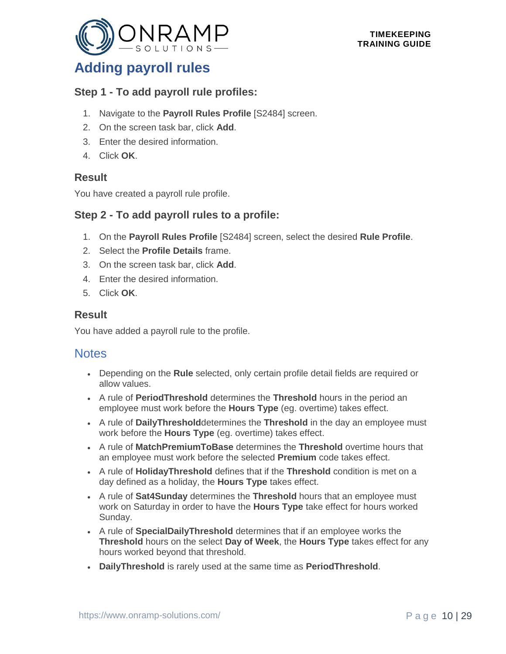

### **Adding payroll rules**

#### **Step 1 - To add payroll rule profiles:**

- 1. Navigate to the **Payroll Rules Profile** [S2484] screen.
- 2. On the screen task bar, click **Add**.
- 3. Enter the desired information.
- 4. Click **OK**.

#### **Result**

You have created a payroll rule profile.

#### **Step 2 - To add payroll rules to a profile:**

- 1. On the **Payroll Rules Profile** [S2484] screen, select the desired **Rule Profile**.
- 2. Select the **Profile Details** frame.
- 3. On the screen task bar, click **Add**.
- 4. Enter the desired information.
- 5. Click **OK**.

#### **Result**

You have added a payroll rule to the profile.

- Depending on the **Rule** selected, only certain profile detail fields are required or allow values.
- A rule of **PeriodThreshold** determines the **Threshold** hours in the period an employee must work before the **Hours Type** (eg. overtime) takes effect.
- A rule of **DailyThreshold**determines the **Threshold** in the day an employee must work before the **Hours Type** (eg. overtime) takes effect.
- A rule of **MatchPremiumToBase** determines the **Threshold** overtime hours that an employee must work before the selected **Premium** code takes effect.
- A rule of **HolidayThreshold** defines that if the **Threshold** condition is met on a day defined as a holiday, the **Hours Type** takes effect.
- A rule of **Sat4Sunday** determines the **Threshold** hours that an employee must work on Saturday in order to have the **Hours Type** take effect for hours worked Sunday.
- A rule of **SpecialDailyThreshold** determines that if an employee works the **Threshold** hours on the select **Day of Week**, the **Hours Type** takes effect for any hours worked beyond that threshold.
- **DailyThreshold** is rarely used at the same time as **PeriodThreshold**.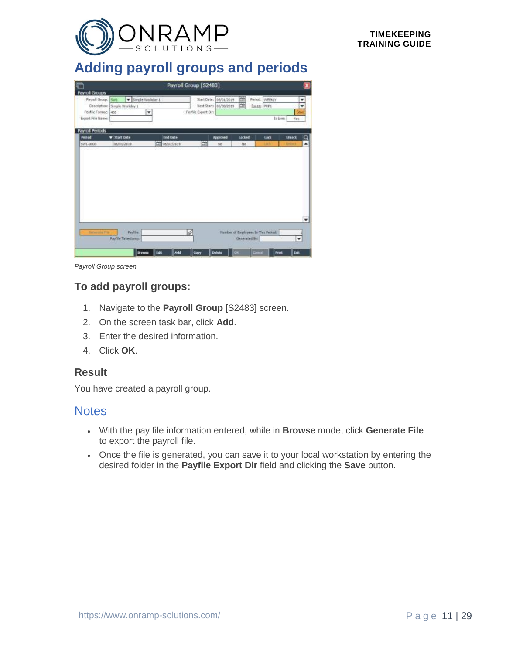

### <span id="page-10-0"></span>**Adding payroll groups and periods**

| m<br><b>Payroll Groups</b>                                     |                                   |                       |                                  | Payroll Group [S2483] |                                                   |                         |                                     |                                 | $\overline{\mathbf{x}}$ |
|----------------------------------------------------------------|-----------------------------------|-----------------------|----------------------------------|-----------------------|---------------------------------------------------|-------------------------|-------------------------------------|---------------------------------|-------------------------|
| Payrell Group: 5W1<br>Payfile Format: 450<br>Export File Name: | Description: Simple Worlday 1     | Simple Worlday 1<br>۰ |                                  | Pavlile Export Din    | Start Date: 06/01/2019<br>Next Start:  p6/08/2019 | 饳<br>面                  | Period: WEEKLY<br>Rules: POP1       | In Uver<br>Ves                  | $\frac{1}{x}$<br>Style  |
| <b>Payroll Periods</b>                                         |                                   |                       |                                  |                       |                                                   |                         |                                     |                                 |                         |
| <b>Period</b><br>SW1-0000                                      | <b>V Start Date</b><br>06/01/2019 |                       | <b>End Date</b><br>CE 06/07/2519 | 曽                     | Approved<br>No                                    | Ladge<br>M <sub>2</sub> | Lock<br>List                        | <b>Liniack</b><br><b>Uniock</b> | a<br>$\blacktriangle$   |
| <b>Generata NV</b>                                             | Payfile:                          |                       |                                  | 4                     |                                                   |                         | Number of Employees In This Period: |                                 | ۰                       |
|                                                                | <b>Payfile Taylestamps</b>        |                       |                                  |                       |                                                   | Generated By:           |                                     | ۰                               |                         |

*Payroll Group screen*

#### **To add payroll groups:**

- 1. Navigate to the **Payroll Group** [S2483] screen.
- 2. On the screen task bar, click **Add**.
- 3. Enter the desired information.
- 4. Click **OK**.

#### **Result**

You have created a payroll group.

- With the pay file information entered, while in **Browse** mode, click **Generate File** to export the payroll file.
- Once the file is generated, you can save it to your local workstation by entering the desired folder in the **Payfile Export Dir** field and clicking the **Save** button.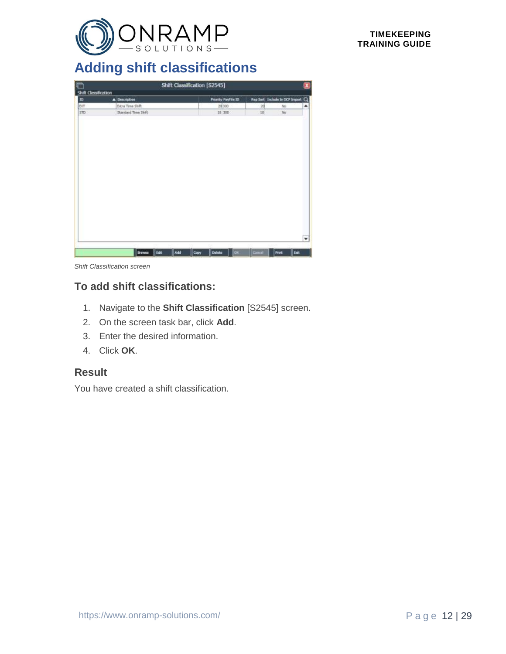

## <span id="page-11-0"></span>**Adding shift classifications**

| <b>For</b>           |                     | Shift Classification [S2545] |                     |                                |       | $\mathbf{x}$ |
|----------------------|---------------------|------------------------------|---------------------|--------------------------------|-------|--------------|
| Shift Classification |                     |                              |                     |                                |       |              |
| E                    | A Description       |                              | Priority PayFile ID | Rep Sort Include In DCP Import |       | $\alpha$     |
| <b>EXT</b>           | Extra Time Shift    |                              | 20 300              | 20                             | No    | ۰            |
| STD                  | Standard Time Shift |                              | 10 300              | 10                             | No    |              |
|                      |                     |                              |                     |                                |       |              |
|                      |                     |                              |                     |                                |       |              |
|                      |                     |                              |                     |                                |       |              |
|                      |                     |                              |                     |                                |       |              |
|                      |                     |                              |                     |                                |       |              |
|                      |                     |                              |                     |                                |       |              |
|                      |                     |                              |                     |                                |       |              |
|                      |                     |                              |                     |                                |       |              |
|                      |                     |                              |                     |                                |       |              |
|                      |                     |                              |                     |                                |       |              |
|                      |                     |                              |                     |                                |       |              |
|                      |                     |                              |                     |                                |       |              |
|                      |                     |                              |                     |                                |       | ۰H           |
|                      |                     |                              |                     |                                |       |              |
|                      | Drowne Edit         | Add<br>Copy                  | Delete<br>or.       | Cinid                          | Print | lisat        |

*Shift Classification screen*

#### **To add shift classifications:**

- 1. Navigate to the **Shift Classification** [S2545] screen.
- 2. On the screen task bar, click **Add**.
- 3. Enter the desired information.
- 4. Click **OK**.

#### **Result**

You have created a shift classification.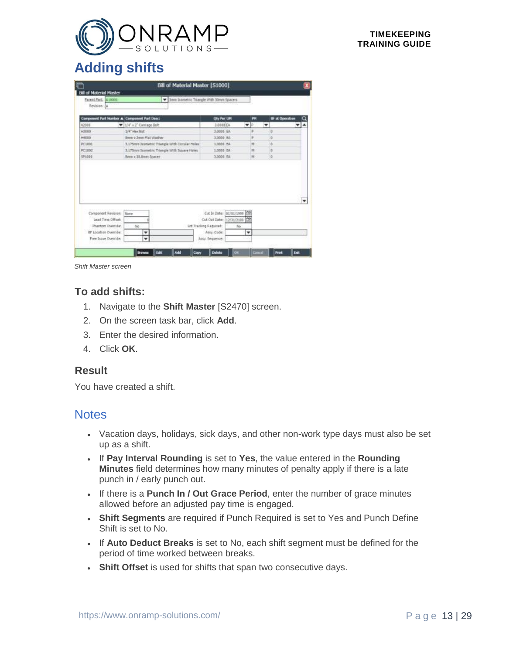

### <span id="page-12-0"></span>**Adding shifts**

| <b>Bill of Material Master</b>               |                           | <b>Bill of Material Master [S1000]</b>                |                         |                                     |                 |   |                        |         |
|----------------------------------------------|---------------------------|-------------------------------------------------------|-------------------------|-------------------------------------|-----------------|---|------------------------|---------|
|                                              |                           |                                                       |                         |                                     |                 |   |                        |         |
| Farent Part: [A10001                         |                           | <b>3eye Isometric Triangle With 30mm Spacers</b><br>٠ |                         |                                     |                 |   |                        |         |
| Revision: A                                  |                           |                                                       |                         |                                     |                 |   |                        |         |
|                                              |                           |                                                       |                         |                                     |                 |   |                        |         |
| Component Part Namber A Component Part Desci |                           |                                                       | Oly Per LIM             |                                     | m               |   | <b>IF at Operation</b> |         |
| H2005                                        | V 1/4" x 2" Corriage Belt |                                                       | 3.000 EA                |                                     | $\mathbf{v}$ is | ۰ |                        | ۰<br>┯┆ |
| H3000                                        | 1/4" Hex Nut              |                                                       | 3.0000 EA               |                                     |                 |   | D                      |         |
| HADDO                                        | Brow x 2 yes Flat Washer  |                                                       | 3,0000 FA               |                                     | ٠               |   | b                      |         |
| PC1001                                       |                           | 3.175mm Japmetric Triangle With Circular Holes        | 1,0000 EA               |                                     | 36              |   | b                      |         |
| PC1002                                       |                           | 1.175mm Issmetric Triangle With Square Holes.         | 1,0000 EA               |                                     | <b>IN</b>       |   | ø                      |         |
|                                              |                           |                                                       | 3.0000 EA               |                                     | M               |   | o                      |         |
| 5P1000                                       | Benn x 31 Amer Spacer     |                                                       |                         |                                     |                 |   |                        |         |
| Component Revision:                          | <b>None</b>               |                                                       |                         |                                     |                 |   |                        | $\cdot$ |
| Lead Time Offset:                            |                           |                                                       | Cut In Date: 01/01/1999 |                                     |                 |   |                        |         |
| Phantom Override:                            | No.                       |                                                       | Lot Tracking Required:  | Cut Out Date: 12/31/2188 CR<br>Sin. |                 |   |                        |         |
| BF Location Override:                        | ٠                         |                                                       | Atty: Code:             |                                     | ۰               |   |                        |         |

*Shift Master screen*

#### **To add shifts:**

- 1. Navigate to the **Shift Master** [S2470] screen.
- 2. On the screen task bar, click **Add**.
- 3. Enter the desired information.
- 4. Click **OK**.

#### **Result**

You have created a shift.

- Vacation days, holidays, sick days, and other non-work type days must also be set up as a shift.
- If **Pay Interval Rounding** is set to **Yes**, the value entered in the **Rounding Minutes** field determines how many minutes of penalty apply if there is a late punch in / early punch out.
- If there is a **Punch In / Out Grace Period**, enter the number of grace minutes allowed before an adjusted pay time is engaged.
- **Shift Segments** are required if Punch Required is set to Yes and Punch Define Shift is set to No.
- If **Auto Deduct Breaks** is set to No, each shift segment must be defined for the period of time worked between breaks.
- **Shift Offset** is used for shifts that span two consecutive days.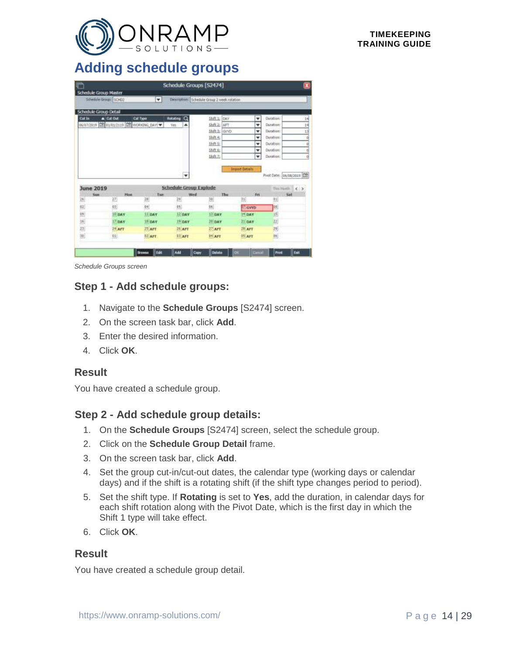

### <span id="page-13-0"></span>**Adding schedule groups**

| m                                    |                                          |               | Schedule Groups [S2474]       |                                             |                       |                               | $\mathbf{x}$     |
|--------------------------------------|------------------------------------------|---------------|-------------------------------|---------------------------------------------|-----------------------|-------------------------------|------------------|
| <b>Schedule Group Master</b>         |                                          |               |                               |                                             |                       |                               |                  |
| Schedule Group: SCH02                |                                          | ۳             |                               | Description: Schedule Graup 2 week rotation |                       |                               |                  |
| Schedule Group Detail                |                                          |               |                               |                                             |                       |                               |                  |
| Cut in                               | A DROM                                   | Call Type     | a<br><b>Rotating</b>          | \$600.10<br>DAY                             | ٠                     | Duration:                     | 14               |
|                                      | 06/07/2819 20 01/01/2119 20 WORKING DAY! |               | Yes<br>۸                      | Shift 2: AFT                                | ۰                     | Duration:                     | 14               |
|                                      |                                          |               |                               | Skift 1: GVYD                               | ۰                     | Duration:                     | 13               |
|                                      |                                          |               |                               | 站在七                                         | ٠                     | Duration:                     |                  |
|                                      |                                          |               |                               | Shift S:                                    | ٠                     | Durations                     |                  |
|                                      |                                          |               |                               | Shift 6:                                    | ٠                     | Durations                     |                  |
|                                      |                                          |               |                               | 独食力                                         | ٠                     | Duration:                     |                  |
|                                      |                                          |               | ۰                             |                                             | <b>Import Details</b> | Pivot Date:   D6/08/2019   CT |                  |
|                                      |                                          |               |                               |                                             |                       |                               |                  |
|                                      |                                          |               | <b>Schedule Group Explode</b> |                                             |                       |                               | Tita Hantil. C > |
| Sun                                  | <b>Hos</b><br>27)                        | Tue<br>28     | Wed<br>$^{29}$                | Thu<br>30                                   | Fei<br>31             | 11                            | Sat              |
|                                      | 02                                       | $\frac{1}{2}$ | 15.                           | 66                                          | <b>M</b> GVYD         | 24                            |                  |
|                                      | <sup>19</sup> DAY                        | $11$ DAY      | 12 pay                        | 13 DAY                                      | <b>14 DAY</b>         | 15                            |                  |
|                                      | $17$ DAY                                 | <b>18 DAY</b> | $15$ DAY                      | 20 DAY                                      | $23$ DAY              | 22                            |                  |
|                                      | TRA <sup>2</sup> E                       | $25$ AFT      | <b>26 AFT</b>                 | $27$ AFT                                    | $JI$ AFT              | 29                            |                  |
|                                      | 妇.                                       | 82 AFT        | <b>B3 AFT</b>                 | 04 AFT                                      | <b>IS AFT</b>         | <b>BE</b>                     |                  |
| <b>June 2019</b><br>쯴<br>12 25 25 26 |                                          |               |                               |                                             |                       |                               |                  |

*Schedule Groups screen*

#### **Step 1 - Add schedule groups:**

- 1. Navigate to the **Schedule Groups** [S2474] screen.
- 2. On the screen task bar, click **Add**.
- 3. Enter the desired information.
- 4. Click **OK**.

#### **Result**

You have created a schedule group.

#### **Step 2 - Add schedule group details:**

- 1. On the **Schedule Groups** [S2474] screen, select the schedule group.
- 2. Click on the **Schedule Group Detail** frame.
- 3. On the screen task bar, click **Add**.
- 4. Set the group cut-in/cut-out dates, the calendar type (working days or calendar days) and if the shift is a rotating shift (if the shift type changes period to period).
- 5. Set the shift type. If **Rotating** is set to **Yes**, add the duration, in calendar days for each shift rotation along with the Pivot Date, which is the first day in which the Shift 1 type will take effect.
- 6. Click **OK**.

#### **Result**

You have created a schedule group detail.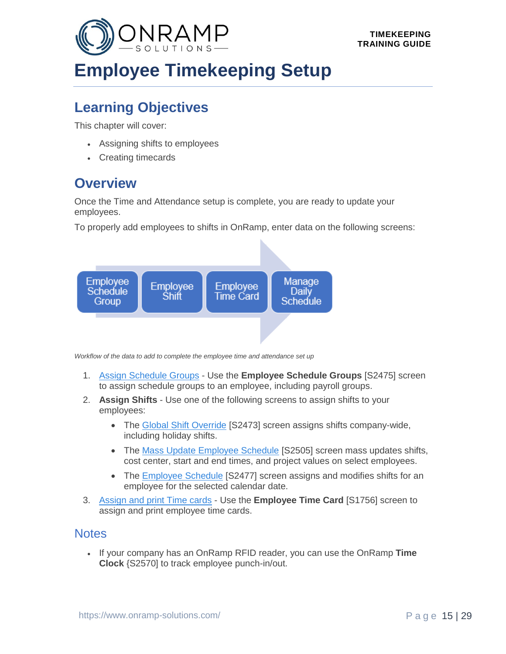<span id="page-14-0"></span>

# **Employee Timekeeping Setup**

### **Learning Objectives**

This chapter will cover:

- Assigning shifts to employees
- Creating timecards

### **Overview**

Once the Time and Attendance setup is complete, you are ready to update your employees.

To properly add employees to shifts in OnRamp, enter data on the following screens:



*Workflow of the data to add to complete the employee time and attendance set up*

- 1. [Assign Schedule Groups](#page-15-0) Use the **Employee Schedule Groups** [S2475] screen to assign schedule groups to an employee, including payroll groups.
- 2. **Assign Shifts** Use one of the following screens to assign shifts to your employees:
	- The [Global Shift Override](file:///C:/Users/phenriques/Documents/ORS_Help/Content/Main/General/Time_Attendance/p_Manage_Global_Shift_Override.htm) [S2473] screen assigns shifts company-wide, including holiday shifts.
	- The [Mass Update Employee Schedule](file:///C:/Users/phenriques/Documents/ORS_Help/Content/Main/General/Time_Attendance/p_Mass_Update_Employee_Schedule.htm) [S2505] screen mass updates shifts, cost center, start and end times, and project values on select employees.
	- The [Employee Schedule](#page-16-0) [S2477] screen assigns and modifies shifts for an employee for the selected calendar date.
- 3. [Assign and print Time cards](#page-17-0) Use the **Employee Time Card** [S1756] screen to assign and print employee time cards.

#### **Notes**

• If your company has an OnRamp RFID reader, you can use the OnRamp **Time Clock** {S2570] to track employee punch-in/out.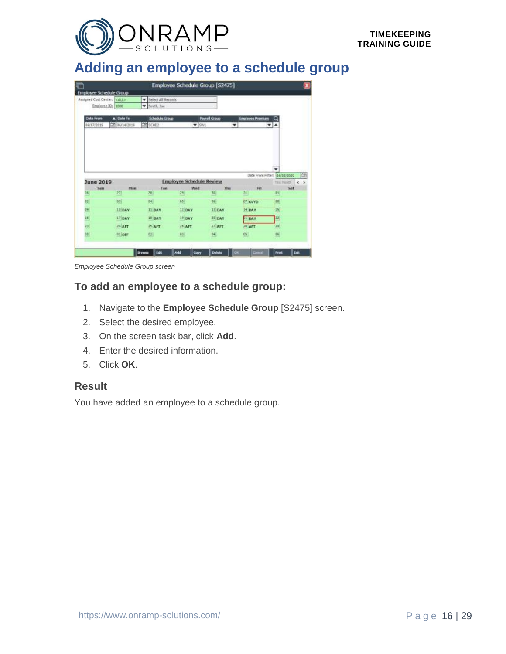

### <span id="page-15-0"></span>**Adding an employee to a schedule group**

|                                |                                |                    |                                 | Employee Schedule Group [S2475] |                              |                           |                             |
|--------------------------------|--------------------------------|--------------------|---------------------------------|---------------------------------|------------------------------|---------------------------|-----------------------------|
| <b>Employee Schedule Group</b> |                                |                    |                                 |                                 |                              |                           |                             |
| Assigned Cost Center: CALLS    |                                | Select All Records |                                 |                                 |                              |                           |                             |
| Employee.32: 1000              |                                | V Smith, Joe       |                                 |                                 |                              |                           |                             |
| <b>Date From</b>               | A Date To                      | Schedule Group     |                                 | <b>Payrell Group</b>            | <b>Englevee Premium</b>      |                           |                             |
| 06/07/2019                     | 28 06/14/2019                  | CON SCHOOL         | $\blacktriangledown$ SW1        | ٠                               |                              | $\mathbf{v}$ $\mathbf{A}$ |                             |
|                                |                                |                    |                                 |                                 |                              |                           |                             |
|                                |                                |                    |                                 |                                 |                              |                           |                             |
|                                |                                |                    |                                 |                                 | Date From Filter: 84/82/2019 | ٠                         |                             |
| June 2019                      |                                |                    | <b>Employee Schedule Review</b> |                                 |                              | This Honth                |                             |
| Sim                            | <b>Mass</b><br>27 <sub>1</sub> | Tue<br>28          | Wed<br>29                       | Thu<br>30                       | Fet<br>31                    | 81                        | Sat                         |
|                                | 回                              |                    | 95                              | 14                              | 07 GVYD                      |                           |                             |
|                                | 10 DAY                         | 创<br>$11$ DAY      | $12$ DAY                        | 110AV                           | 14 DAY                       | 刨<br>15                   |                             |
| $\frac{26}{2}$<br>92)          | $17$ DAY                       | <sup>19</sup> DAY  | <sup>19</sup> DAY               | $20$ DAY                        | <b>PI DAY</b>                | 22                        |                             |
| 89<br>36<br>23                 | $24$ AFT                       | $25$ APT           | <sup>26</sup> AFT               | $37$ APT                        | 20 AFT                       | 23                        | 兽<br>$\left( \cdot \right)$ |

*Employee Schedule Group screen*

#### **To add an employee to a schedule group:**

- 1. Navigate to the **Employee Schedule Group** [S2475] screen.
- 2. Select the desired employee.
- 3. On the screen task bar, click **Add**.
- 4. Enter the desired information.
- 5. Click **OK**.

#### **Result**

You have added an employee to a schedule group.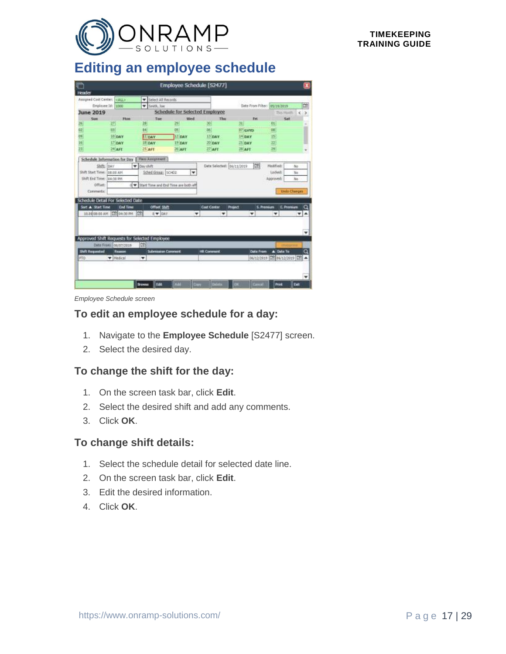

### <span id="page-16-0"></span>**Editing an employee schedule**

| kader<br>Select All Records<br>۰<br>Employee 16: 1000<br>Date From Filber: (85/19/2019)<br>V Smith, Joe<br><b>Schedule for Selected Employee</b><br><b>June 2019</b><br>This Hoath<br>Sun<br>Wed<br>Thu<br>Sat<br><b>Hom</b><br>Tase<br>Fet.<br>37<br>Ħ<br>28<br>29<br>30<br>26<br>DI.<br>02<br>14<br>031<br><b>OS</b><br>D6<br>$07$ GVYD<br>05<br>98 56 23<br><b>ILDAY</b><br>12 DAY<br>15<br>10 DAY<br>13 DAY<br>$14$ DAY<br>22<br>17 DAY<br>19 DAY<br>20 DAY<br>21 DAY<br><b>IF DAY</b><br>B)<br>$27$ AFT<br>24 AFT<br>$25^{\circ}$ AFT<br>$28$ AFT<br>26 AFT<br>Schedule Information for Day<br>Mass Assignment<br>m<br>Skits:<br>Date Selected: 06/11/2019<br>Nodified:<br>Inav<br>Davishift<br>٠<br>16 <sub>0</sub><br>Shift Start Times<br>Lidefi<br>Sched Greate SCHOO<br>08:00 AM<br>۰<br>165<br>Shift End Time:   04:30 PM<br>Approved:<br>No<br>Offset:<br>Start Time and End Time are both eff<br>$\alpha$<br><b>Undo Changes</b><br>Commands:<br>Schedule Detail For Selected Date<br>Sart A Start Time<br><b>Cost Center</b><br>Q<br><b>End Time</b><br>Offset Shift<br>Project<br>S. Premium<br>E. Prentium<br>ä<br>10.00 08:00 AM CIT 04:30 PM<br>8 W DAY<br>۰<br>▾<br>٠<br>٠<br>۰<br>٠<br>Approved Shift Requests for Selected Employee<br>ch<br>Oute Frami: 06/07/2019<br><b>Skft Requested</b><br>Submission Commont<br><b>HR Comment</b><br>A Date To<br><b>Oute From</b><br><b>Romes</b><br>06/12/2819 日本86/12/2019 日刊 ▲<br>W Medical<br>PTO<br>۰<br>Cancel<br>œ<br><b>Edit</b><br>Course<br>Print<br>Exit<br><b>Browne</b> |  |  | Employee Schedule [S2477] |  | $\mathbf{x}$                               |
|--------------------------------------------------------------------------------------------------------------------------------------------------------------------------------------------------------------------------------------------------------------------------------------------------------------------------------------------------------------------------------------------------------------------------------------------------------------------------------------------------------------------------------------------------------------------------------------------------------------------------------------------------------------------------------------------------------------------------------------------------------------------------------------------------------------------------------------------------------------------------------------------------------------------------------------------------------------------------------------------------------------------------------------------------------------------------------------------------------------------------------------------------------------------------------------------------------------------------------------------------------------------------------------------------------------------------------------------------------------------------------------------------------------------------------------------------------------------------------------------------------------------------------------------------|--|--|---------------------------|--|--------------------------------------------|
|                                                                                                                                                                                                                                                                                                                                                                                                                                                                                                                                                                                                                                                                                                                                                                                                                                                                                                                                                                                                                                                                                                                                                                                                                                                                                                                                                                                                                                                                                                                                                  |  |  |                           |  |                                            |
|                                                                                                                                                                                                                                                                                                                                                                                                                                                                                                                                                                                                                                                                                                                                                                                                                                                                                                                                                                                                                                                                                                                                                                                                                                                                                                                                                                                                                                                                                                                                                  |  |  |                           |  |                                            |
|                                                                                                                                                                                                                                                                                                                                                                                                                                                                                                                                                                                                                                                                                                                                                                                                                                                                                                                                                                                                                                                                                                                                                                                                                                                                                                                                                                                                                                                                                                                                                  |  |  |                           |  | e                                          |
|                                                                                                                                                                                                                                                                                                                                                                                                                                                                                                                                                                                                                                                                                                                                                                                                                                                                                                                                                                                                                                                                                                                                                                                                                                                                                                                                                                                                                                                                                                                                                  |  |  |                           |  | $\left\langle \cdot , \cdot \right\rangle$ |
|                                                                                                                                                                                                                                                                                                                                                                                                                                                                                                                                                                                                                                                                                                                                                                                                                                                                                                                                                                                                                                                                                                                                                                                                                                                                                                                                                                                                                                                                                                                                                  |  |  |                           |  |                                            |
|                                                                                                                                                                                                                                                                                                                                                                                                                                                                                                                                                                                                                                                                                                                                                                                                                                                                                                                                                                                                                                                                                                                                                                                                                                                                                                                                                                                                                                                                                                                                                  |  |  |                           |  |                                            |
|                                                                                                                                                                                                                                                                                                                                                                                                                                                                                                                                                                                                                                                                                                                                                                                                                                                                                                                                                                                                                                                                                                                                                                                                                                                                                                                                                                                                                                                                                                                                                  |  |  |                           |  |                                            |
|                                                                                                                                                                                                                                                                                                                                                                                                                                                                                                                                                                                                                                                                                                                                                                                                                                                                                                                                                                                                                                                                                                                                                                                                                                                                                                                                                                                                                                                                                                                                                  |  |  |                           |  |                                            |
|                                                                                                                                                                                                                                                                                                                                                                                                                                                                                                                                                                                                                                                                                                                                                                                                                                                                                                                                                                                                                                                                                                                                                                                                                                                                                                                                                                                                                                                                                                                                                  |  |  |                           |  |                                            |
|                                                                                                                                                                                                                                                                                                                                                                                                                                                                                                                                                                                                                                                                                                                                                                                                                                                                                                                                                                                                                                                                                                                                                                                                                                                                                                                                                                                                                                                                                                                                                  |  |  |                           |  |                                            |
|                                                                                                                                                                                                                                                                                                                                                                                                                                                                                                                                                                                                                                                                                                                                                                                                                                                                                                                                                                                                                                                                                                                                                                                                                                                                                                                                                                                                                                                                                                                                                  |  |  |                           |  |                                            |
|                                                                                                                                                                                                                                                                                                                                                                                                                                                                                                                                                                                                                                                                                                                                                                                                                                                                                                                                                                                                                                                                                                                                                                                                                                                                                                                                                                                                                                                                                                                                                  |  |  |                           |  |                                            |
|                                                                                                                                                                                                                                                                                                                                                                                                                                                                                                                                                                                                                                                                                                                                                                                                                                                                                                                                                                                                                                                                                                                                                                                                                                                                                                                                                                                                                                                                                                                                                  |  |  |                           |  |                                            |
|                                                                                                                                                                                                                                                                                                                                                                                                                                                                                                                                                                                                                                                                                                                                                                                                                                                                                                                                                                                                                                                                                                                                                                                                                                                                                                                                                                                                                                                                                                                                                  |  |  |                           |  |                                            |
|                                                                                                                                                                                                                                                                                                                                                                                                                                                                                                                                                                                                                                                                                                                                                                                                                                                                                                                                                                                                                                                                                                                                                                                                                                                                                                                                                                                                                                                                                                                                                  |  |  |                           |  |                                            |
|                                                                                                                                                                                                                                                                                                                                                                                                                                                                                                                                                                                                                                                                                                                                                                                                                                                                                                                                                                                                                                                                                                                                                                                                                                                                                                                                                                                                                                                                                                                                                  |  |  |                           |  |                                            |
|                                                                                                                                                                                                                                                                                                                                                                                                                                                                                                                                                                                                                                                                                                                                                                                                                                                                                                                                                                                                                                                                                                                                                                                                                                                                                                                                                                                                                                                                                                                                                  |  |  |                           |  |                                            |
|                                                                                                                                                                                                                                                                                                                                                                                                                                                                                                                                                                                                                                                                                                                                                                                                                                                                                                                                                                                                                                                                                                                                                                                                                                                                                                                                                                                                                                                                                                                                                  |  |  |                           |  |                                            |
|                                                                                                                                                                                                                                                                                                                                                                                                                                                                                                                                                                                                                                                                                                                                                                                                                                                                                                                                                                                                                                                                                                                                                                                                                                                                                                                                                                                                                                                                                                                                                  |  |  |                           |  |                                            |
|                                                                                                                                                                                                                                                                                                                                                                                                                                                                                                                                                                                                                                                                                                                                                                                                                                                                                                                                                                                                                                                                                                                                                                                                                                                                                                                                                                                                                                                                                                                                                  |  |  |                           |  |                                            |
|                                                                                                                                                                                                                                                                                                                                                                                                                                                                                                                                                                                                                                                                                                                                                                                                                                                                                                                                                                                                                                                                                                                                                                                                                                                                                                                                                                                                                                                                                                                                                  |  |  |                           |  |                                            |
|                                                                                                                                                                                                                                                                                                                                                                                                                                                                                                                                                                                                                                                                                                                                                                                                                                                                                                                                                                                                                                                                                                                                                                                                                                                                                                                                                                                                                                                                                                                                                  |  |  |                           |  | ٠                                          |
|                                                                                                                                                                                                                                                                                                                                                                                                                                                                                                                                                                                                                                                                                                                                                                                                                                                                                                                                                                                                                                                                                                                                                                                                                                                                                                                                                                                                                                                                                                                                                  |  |  |                           |  |                                            |
|                                                                                                                                                                                                                                                                                                                                                                                                                                                                                                                                                                                                                                                                                                                                                                                                                                                                                                                                                                                                                                                                                                                                                                                                                                                                                                                                                                                                                                                                                                                                                  |  |  |                           |  |                                            |
|                                                                                                                                                                                                                                                                                                                                                                                                                                                                                                                                                                                                                                                                                                                                                                                                                                                                                                                                                                                                                                                                                                                                                                                                                                                                                                                                                                                                                                                                                                                                                  |  |  |                           |  | $\alpha$                                   |
|                                                                                                                                                                                                                                                                                                                                                                                                                                                                                                                                                                                                                                                                                                                                                                                                                                                                                                                                                                                                                                                                                                                                                                                                                                                                                                                                                                                                                                                                                                                                                  |  |  |                           |  |                                            |
|                                                                                                                                                                                                                                                                                                                                                                                                                                                                                                                                                                                                                                                                                                                                                                                                                                                                                                                                                                                                                                                                                                                                                                                                                                                                                                                                                                                                                                                                                                                                                  |  |  |                           |  |                                            |
|                                                                                                                                                                                                                                                                                                                                                                                                                                                                                                                                                                                                                                                                                                                                                                                                                                                                                                                                                                                                                                                                                                                                                                                                                                                                                                                                                                                                                                                                                                                                                  |  |  |                           |  |                                            |
|                                                                                                                                                                                                                                                                                                                                                                                                                                                                                                                                                                                                                                                                                                                                                                                                                                                                                                                                                                                                                                                                                                                                                                                                                                                                                                                                                                                                                                                                                                                                                  |  |  |                           |  |                                            |
|                                                                                                                                                                                                                                                                                                                                                                                                                                                                                                                                                                                                                                                                                                                                                                                                                                                                                                                                                                                                                                                                                                                                                                                                                                                                                                                                                                                                                                                                                                                                                  |  |  |                           |  |                                            |

*Employee Schedule screen*

#### **To edit an employee schedule for a day:**

- 1. Navigate to the **Employee Schedule** [S2477] screen.
- 2. Select the desired day.

#### **To change the shift for the day:**

- 1. On the screen task bar, click **Edit**.
- 2. Select the desired shift and add any comments.
- 3. Click **OK**.

#### **To change shift details:**

- 1. Select the schedule detail for selected date line.
- 2. On the screen task bar, click **Edit**.
- 3. Edit the desired information.
- 4. Click **OK**.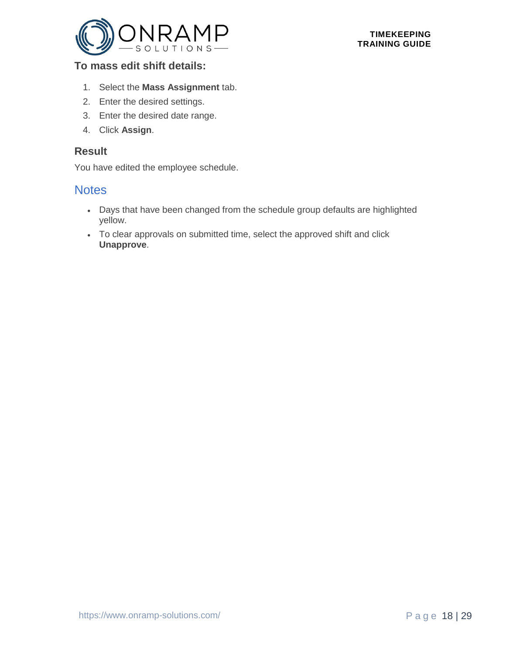

#### **To mass edit shift details:**

- 1. Select the **Mass Assignment** tab.
- 2. Enter the desired settings.
- 3. Enter the desired date range.
- 4. Click **Assign**.

#### **Result**

You have edited the employee schedule.

- Days that have been changed from the schedule group defaults are highlighted yellow.
- <span id="page-17-0"></span>• To clear approvals on submitted time, select the approved shift and click **Unapprove**.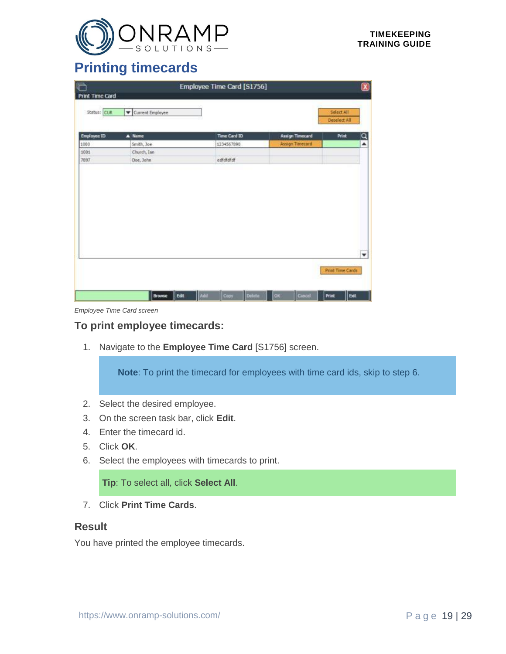

### **Printing timecards**

| r<br><b>Print Time Card</b> |                  | Employee Time Card [S1756] |                        |                            | $\mathbf{\overline{X}}$ |
|-----------------------------|------------------|----------------------------|------------------------|----------------------------|-------------------------|
| Status: CUR                 | Current Employee |                            |                        | Select All<br>Deselect All |                         |
| Employee ID                 | A Name           | <b>Time Card ID</b>        | <b>Assign Timecard</b> | Print                      | $\frac{Q}{\Delta}$      |
| 1000                        | Smith, Joe       | 1234567890                 | Assign Timecard        |                            |                         |
| 1001                        | Church, Ian      |                            |                        |                            |                         |
| 7897                        | Doe, John        | edfdfdfdf                  |                        |                            |                         |
|                             |                  |                            |                        |                            |                         |
|                             |                  |                            |                        |                            | ۰                       |

*Employee Time Card screen*

#### **To print employee timecards:**

1. Navigate to the **Employee Time Card** [S1756] screen.

**Note**: To print the timecard for employees with time card ids, skip to step 6.

- 2. Select the desired employee.
- 3. On the screen task bar, click **Edit**.
- 4. Enter the timecard id.
- 5. Click **OK**.
- 6. Select the employees with timecards to print.

**Tip**: To select all, click **Select All**.

7. Click **Print Time Cards**.

#### **Result**

You have printed the employee timecards.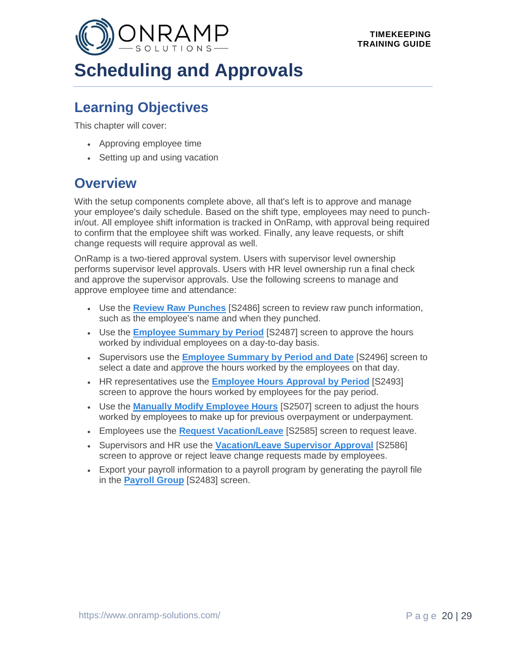<span id="page-19-0"></span>

# **Scheduling and Approvals**

### **Learning Objectives**

This chapter will cover:

- Approving employee time
- Setting up and using vacation

### **Overview**

With the setup components complete above, all that's left is to approve and manage your employee's daily schedule. Based on the shift type, employees may need to punchin/out. All employee shift information is tracked in OnRamp, with approval being required to confirm that the employee shift was worked. Finally, any leave requests, or shift change requests will require approval as well.

OnRamp is a two-tiered approval system. Users with supervisor level ownership performs supervisor level approvals. Users with HR level ownership run a final check and approve the supervisor approvals. Use the following screens to manage and approve employee time and attendance:

- Use the **[Review Raw Punches](file:///C:/Users/phenriques/Documents/ORS_Help/Content/Main/General/Time_Attendance/p_Review_Raw_Punches.htm)** [S2486] screen to review raw punch information, such as the employee's name and when they punched.
- Use the **[Employee Summary by Period](#page-21-0)** [S2487] screen to approve the hours worked by individual employees on a day-to-day basis.
- Supervisors use the **[Employee Summary by Period and Date](file:///C:/Users/phenriques/Documents/ORS_Help/Content/Main/General/Time_Attendance/p_Approve_Employees_by_Date.htm)** [S2496] screen to select a date and approve the hours worked by the employees on that day.
- HR representatives use the **[Employee Hours Approval by Period](#page-22-0)** [S2493] screen to approve the hours worked by employees for the pay period.
- Use the **[Manually Modify Employee Hours](#page-20-0)** [S2507] screen to adjust the hours worked by employees to make up for previous overpayment or underpayment.
- Employees use the **[Request Vacation/Leave](#page-24-0)** [S2585] screen to request leave.
- Supervisors and HR use the **[Vacation/Leave Supervisor Approval](#page-25-0)** [S2586] screen to approve or reject leave change requests made by employees.
- Export your payroll information to a payroll program by generating the payroll file in the **[Payroll Group](#page-10-0)** [S2483] screen.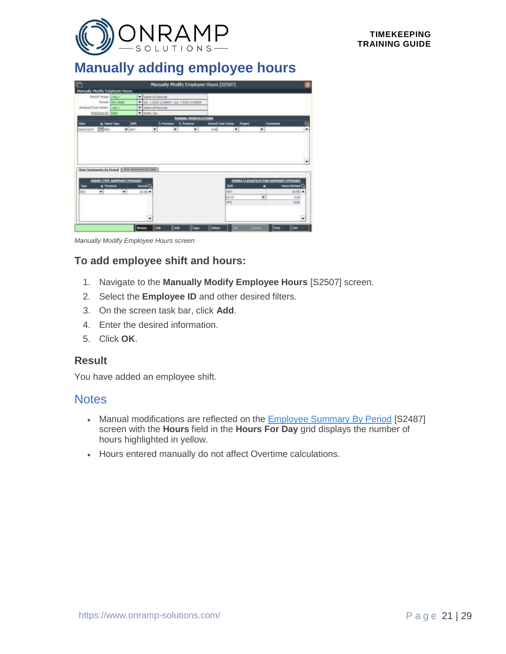

### <span id="page-20-0"></span>**Manually adding employee hours**

| O                                                |                              |               |                                           | Manually Modify Employee Hours [S2507] |                             |                           |             |                                        |              | $\boldsymbol{\mathsf{x}}$ |
|--------------------------------------------------|------------------------------|---------------|-------------------------------------------|----------------------------------------|-----------------------------|---------------------------|-------------|----------------------------------------|--------------|---------------------------|
| Manually Modify Employee Hours                   |                              |               |                                           |                                        |                             |                           |             |                                        |              |                           |
| Payell Driver CALLS                              |                              |               | V Salect All Records                      |                                        |                             |                           |             |                                        |              |                           |
|                                                  | Period: WV1-8008             | ٠             | Sun: 1.1919 12:00AM - Sun: 7.2019 12:00AM |                                        |                             |                           |             |                                        |              |                           |
| Assigned Cost Center: CALL>                      |                              |               | V Select All Records                      |                                        |                             |                           |             |                                        |              |                           |
| freeloves 32: 1080                               |                              |               | W Smith, Jun.                             |                                        |                             |                           |             |                                        |              |                           |
|                                                  |                              |               |                                           |                                        | <b>MANUAL MOSSEILATIONS</b> |                           |             |                                        |              |                           |
| Date                                             | A Hours-Type                 | SH            |                                           | 5. Premium                             | <b>E. Premium</b>           | <b>Earned Cost Center</b> |             | Project                                | Contracto    | Q                         |
| CR KKG<br>06/03/2019                             | $\blacktriangledown$ DAY     |               | ٠                                         | ٠                                      | ٠                           | 8.00                      | ٠           | ۰                                      |              | ×                         |
| thrar Somewries by Parked   How Sommeres to Date | HOURS TYPE SUMPLARY (PERIOD) |               |                                           |                                        |                             |                           |             | HOURS CLASSIFICATION SUMPLARY (PERIOD) |              |                           |
| Type<br>A Premium                                |                              |               | <b>Earned Q</b>                           |                                        |                             |                           | skh         | ۰                                      |              | Hears Warked Q            |
| 16G<br>$\mathbf{v}$                              | ×                            |               | 2450 A                                    |                                        |                             |                           | DAY         |                                        |              | $36.881 -$                |
|                                                  |                              |               |                                           |                                        |                             |                           | <b>BITO</b> | ٠                                      |              | 0.08                      |
|                                                  |                              |               |                                           |                                        |                             |                           | <b>PSO</b>  |                                        |              | 5.00                      |
|                                                  |                              |               | ٠                                         |                                        |                             |                           |             |                                        |              | ٠                         |
|                                                  |                              | <b>Browns</b> | <b>zde</b>                                | Add                                    | <b>Cary</b>                 | Deleta                    | œ           | Gent                                   | <b>Print</b> | bit                       |

*Manually Modify Employee Hours screen*

#### **To add employee shift and hours:**

- 1. Navigate to the **Manually Modify Employee Hours** [S2507] screen.
- 2. Select the **Employee ID** and other desired filters.
- 3. On the screen task bar, click **Add**.
- 4. Enter the desired information.
- 5. Click **OK**.

#### **Result**

You have added an employee shift.

- Manual modifications are reflected on the **Employee Summary By Period** [S2487] screen with the **Hours** field in the **Hours For Day** grid displays the number of hours highlighted in yellow.
- Hours entered manually do not affect Overtime calculations.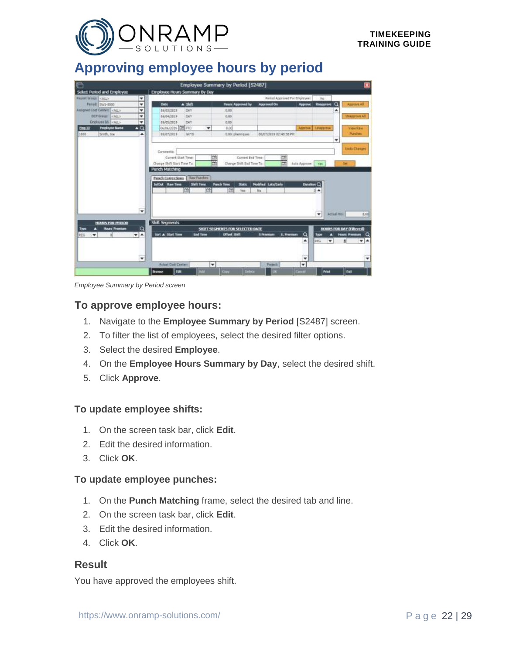

### <span id="page-21-0"></span>**Approving employee hours by period**

| Select Period and Employee                       |                                      |                    | Employee Summary by Period [S2487]                             |                                  |                       |                    | ×                                                       |
|--------------------------------------------------|--------------------------------------|--------------------|----------------------------------------------------------------|----------------------------------|-----------------------|--------------------|---------------------------------------------------------|
|                                                  | <b>Employee Hours Summary By Day</b> |                    |                                                                |                                  |                       |                    |                                                         |
| <b>Payrell Group: CALLY</b><br>٠                 |                                      |                    |                                                                | Period Approved Por Employee:    |                       | No                 |                                                         |
| ٠<br>Persit: SW1-8500                            | Date                                 | $A$ skill          | Hours: Approved by                                             | <b>Approved On</b>               | Approve               | Unapprove          | o<br>Approve All                                        |
| Assigned Cost Center:<br><br>٠                   | 06/03/2019                           | DAY                | 0.00                                                           |                                  |                       |                    | ۸                                                       |
| DEF GHUEL CALL><br>٠                             | 86/04/2019                           | DAY                | 0.00                                                           |                                  |                       |                    | <b>IMaggrove All</b>                                    |
| Englaves Mill (ALL)<br>٠                         | 06/05/2019                           | DAY                | 0.00                                                           |                                  |                       |                    |                                                         |
| $\triangle$ Q<br>ting 10<br><b>Employee Nume</b> | 06/06/2019 28 FTD                    | ÷                  | 8.00                                                           |                                  |                       | Адресна Плациятеле | <b>View Raw</b>                                         |
| ٠<br>1800<br>Smith, Joe                          | B6/07/2019                           | GVYD               | <b>E.00 phenogues</b>                                          | 86/07/2019 02:40:38 PH           |                       |                    | Punches                                                 |
|                                                  |                                      |                    |                                                                |                                  |                       |                    | ٠                                                       |
|                                                  | Comments:                            |                    |                                                                |                                  |                       |                    | <b>Undo Changed</b>                                     |
|                                                  | Cannet Start Times                   |                    | ø<br>Current End Time                                          | 歯                                |                       |                    |                                                         |
|                                                  | Change Shift Start Time To:          |                    | ਲਿ<br>Change Shift End Time Tip:                               | G.                               | Auto Approve:         | Title              | <b>Set</b>                                              |
|                                                  | <b>Punch Matching</b>                |                    |                                                                |                                  |                       |                    |                                                         |
|                                                  |                                      |                    |                                                                |                                  |                       |                    |                                                         |
|                                                  | Panch Corrections                    | <b>Raw Punches</b> |                                                                |                                  |                       |                    |                                                         |
|                                                  |                                      |                    |                                                                |                                  |                       |                    |                                                         |
|                                                  | <b>Initial Raw Time</b>              | Shift Time         | <b>Purch Time</b><br><b>Studio</b>                             | <b>Modified Latistants</b>       | Datablem <sup>Q</sup> |                    |                                                         |
|                                                  |                                      | m                  | œ<br>Ver                                                       | <b>TV</b>                        |                       | 0.4                |                                                         |
|                                                  |                                      |                    |                                                                |                                  |                       |                    |                                                         |
|                                                  |                                      |                    |                                                                |                                  |                       |                    |                                                         |
|                                                  |                                      |                    |                                                                |                                  |                       |                    |                                                         |
| ۰                                                |                                      |                    |                                                                |                                  |                       | ٠                  | ACTAN HYS!<br>4,008                                     |
|                                                  |                                      |                    |                                                                |                                  |                       |                    |                                                         |
| HOURS FOR PERIOD<br><b>Hours Thumburn</b>        | <b>Shift Segments</b>                |                    |                                                                |                                  |                       |                    |                                                         |
| a<br>Type<br>۰                                   | Sort A Start Year                    | <b>End Time</b>    | <b>SHIFT SEGMENTS FOR SELECTED DATE</b><br><b>Offset Shift</b> | E. Premiers<br><b>S Pressure</b> |                       | Type<br>о          | <b>HOURS FOR DAY (Filtered)</b><br><b>Hours Premium</b> |
| $\mathbf{v}$ $\mathbf{A}$<br>PEG                 |                                      |                    |                                                                |                                  | $\Omega$<br>۸         | ٠                  | a<br>8                                                  |
|                                                  |                                      |                    |                                                                |                                  |                       | <b>REG</b>         | $V_A$                                                   |
|                                                  |                                      |                    |                                                                |                                  |                       |                    |                                                         |
| ٠                                                |                                      |                    |                                                                |                                  | ٠                     |                    | ٠                                                       |
|                                                  | <b>Actual Cast Center</b>            | ۰                  |                                                                | Preject                          | ٠                     |                    |                                                         |
|                                                  |                                      |                    |                                                                |                                  |                       |                    |                                                         |

*Employee Summary by Period screen*

#### **To approve employee hours:**

- 1. Navigate to the **Employee Summary by Period** [S2487] screen.
- 2. To filter the list of employees, select the desired filter options.
- 3. Select the desired **Employee**.
- 4. On the **Employee Hours Summary by Day**, select the desired shift.
- 5. Click **Approve**.

#### **To update employee shifts:**

- 1. On the screen task bar, click **Edit**.
- 2. Edit the desired information.
- 3. Click **OK**.

#### **To update employee punches:**

- 1. On the **Punch Matching** frame, select the desired tab and line.
- 2. On the screen task bar, click **Edit**.
- 3. Edit the desired information.
- 4. Click **OK**.

#### **Result**

You have approved the employees shift.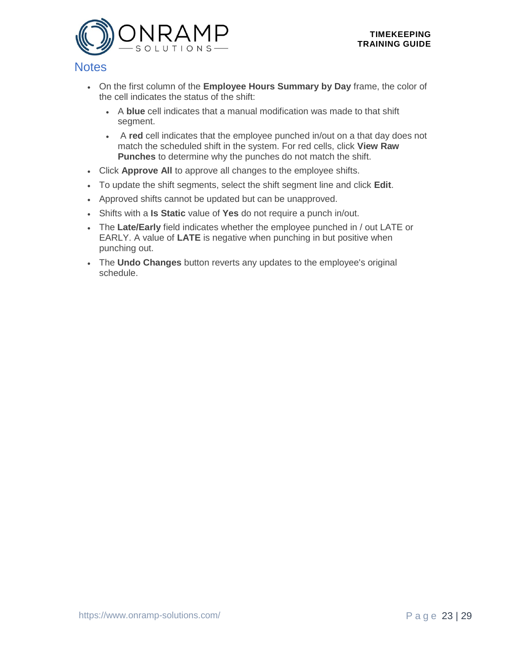

- On the first column of the **Employee Hours Summary by Day** frame, the color of the cell indicates the status of the shift:
	- A **blue** cell indicates that a manual modification was made to that shift segment.
	- A **red** cell indicates that the employee punched in/out on a that day does not match the scheduled shift in the system. For red cells, click **View Raw Punches** to determine why the punches do not match the shift.
- Click **Approve All** to approve all changes to the employee shifts.
- To update the shift segments, select the shift segment line and click **Edit**.
- Approved shifts cannot be updated but can be unapproved.
- Shifts with a **Is Static** value of **Yes** do not require a punch in/out.
- The **Late/Early** field indicates whether the employee punched in / out LATE or EARLY. A value of **LATE** is negative when punching in but positive when punching out.
- <span id="page-22-0"></span>• The **Undo Changes** button reverts any updates to the employee's original schedule.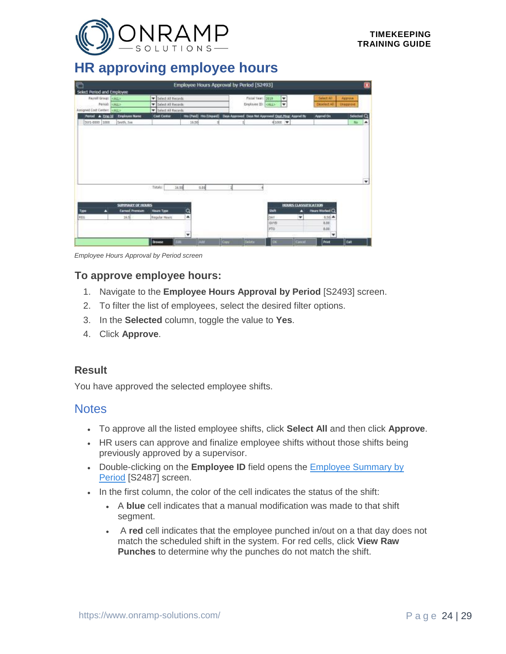

### **HR approving employee hours**

|                                    |                       |                             | Employee Hours Approval by Period [S2493] |                                                                             |                          |                          |                |                   | 窝 |
|------------------------------------|-----------------------|-----------------------------|-------------------------------------------|-----------------------------------------------------------------------------|--------------------------|--------------------------|----------------|-------------------|---|
| Select Period and Employee         |                       |                             |                                           |                                                                             |                          |                          |                |                   |   |
| Payroll Group: CALL>               |                       | Select All Records          |                                           | Fiscal Year: 2019                                                           | $\overline{\phantom{a}}$ |                          | Select All     | Approve           |   |
|                                    | Period: CALL>         | V Select All Records        |                                           | Employee ID: CALL>                                                          | ÷                        |                          | Deselect All.  | <b>Linepprove</b> |   |
| Assigned Cost Center:<br><br>CALL> |                       | <b>v</b> Select All Records |                                           |                                                                             |                          |                          |                |                   |   |
| <b>North &amp; Empli</b>           | <b>Employee Name</b>  | <b>Cast Center</b>          |                                           | Hrs (Pard) Hrs (Unpaid) Deys Approved Days Not Approved Dept Mag: Appred By |                          |                          | Appred On      | Selected Q        |   |
| 3W1-0000 1000                      | Seath, Joe            |                             | 15.50                                     |                                                                             | 41000.9                  |                          |                | <b>Ro</b>         | ۸ |
|                                    |                       |                             |                                           |                                                                             |                          |                          |                |                   |   |
|                                    |                       |                             |                                           |                                                                             |                          |                          |                |                   |   |
|                                    |                       | Totals<br>36.50             | 0.00                                      |                                                                             |                          |                          |                |                   | ۰ |
|                                    |                       |                             |                                           |                                                                             |                          |                          |                |                   |   |
|                                    | SUPERIARY OF HOURS    |                             |                                           |                                                                             |                          | HOURS CLASSIFICATION     |                |                   |   |
| Type<br>п                          | <b>Earned Premium</b> | Hours Type                  | $\alpha$                                  |                                                                             | <b>Shift</b>             | r                        | Hours Worked C |                   |   |
| <b>FEG</b>                         | 16.8                  | Regular Hours               | ۰                                         |                                                                             | DAY                      | $\overline{\phantom{a}}$ | <b>1.50 A</b>  |                   |   |
|                                    |                       |                             |                                           |                                                                             | <b>GWYD</b>              |                          | 0.00           |                   |   |
|                                    |                       |                             | ٠                                         |                                                                             | PTO                      |                          | 8.00<br>۰      |                   |   |

*Employee Hours Approval by Period screen*

#### **To approve employee hours:**

- 1. Navigate to the **Employee Hours Approval by Period** [S2493] screen.
- 2. To filter the list of employees, select the desired filter options.
- 3. In the **Selected** column, toggle the value to **Yes**.
- 4. Click **Approve**.

#### **Result**

You have approved the selected employee shifts.

- To approve all the listed employee shifts, click **Select All** and then click **Approve**.
- HR users can approve and finalize employee shifts without those shifts being previously approved by a supervisor.
- Double-clicking on the **Employee ID** field opens the **Employee Summary by** [Period](#page-21-0) [S2487] screen.
- In the first column, the color of the cell indicates the status of the shift:
	- A **blue** cell indicates that a manual modification was made to that shift segment.
	- A **red** cell indicates that the employee punched in/out on a that day does not match the scheduled shift in the system. For red cells, click **View Raw Punches** to determine why the punches do not match the shift.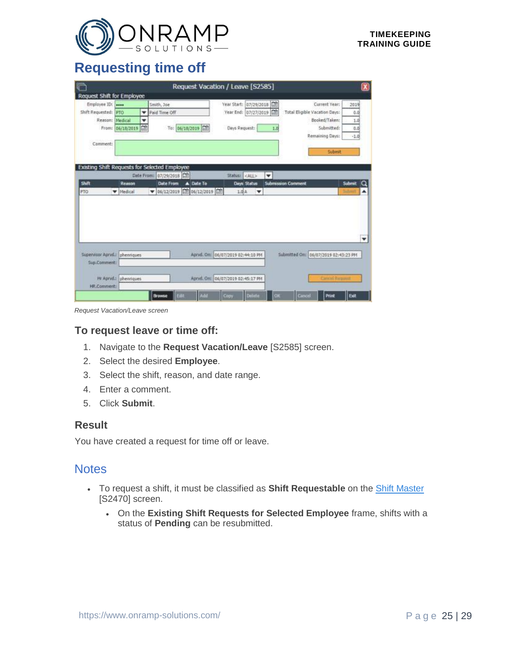

### <span id="page-24-0"></span>**Requesting time off**

| <b>IF</b>                    |                                     |                                                      | Request Vacation / Leave [S2585]                            |                                      | $\boldsymbol{\mathsf{x}}$ |
|------------------------------|-------------------------------------|------------------------------------------------------|-------------------------------------------------------------|--------------------------------------|---------------------------|
| Request Shift for Employee   |                                     |                                                      |                                                             |                                      |                           |
| Employee ID:                 |                                     | Smith, Joe                                           | Year Start: 07/29/2018 [11]                                 | Current Year:                        | 2019                      |
| Shift Requested:             | PTO<br>۰                            | Paid Time Off                                        | 曲<br>Year End: 07/27/2019                                   | <b>Total Eligible Vacation Days:</b> | 0.0                       |
| Reason:                      | Medical<br>$\overline{\phantom{a}}$ |                                                      |                                                             | Booked/Taken:                        | 1.0                       |
| From:                        | 临<br>06/18/2019                     | To: 06/18/2019 [金]                                   | Days Request:<br>1.0                                        | Submitted:                           | 0.0                       |
|                              |                                     |                                                      |                                                             | Remaining Days:                      | $-1.0$                    |
| Comment:                     |                                     |                                                      |                                                             |                                      |                           |
|                              |                                     |                                                      |                                                             | Submit                               |                           |
|                              |                                     |                                                      |                                                             |                                      |                           |
|                              |                                     | <b>Existing Shift Requests for Selected Employee</b> |                                                             |                                      |                           |
|                              | Date From:                          | 07/29/2018                                           | Status: <all><br/><math>\overline{\phantom{a}}</math></all> |                                      |                           |
| Shift                        | Reason                              | A Date To<br><b>Date From</b>                        | Days Status                                                 | <b>Submission Comment</b>            | Submit<br>Q               |
| PTO                          | W Medical                           | ▼ 06/12/2019 前 06/12/2019 前                          | 1.0A<br>▼                                                   |                                      | ۸                         |
|                              |                                     |                                                      |                                                             |                                      |                           |
|                              |                                     |                                                      |                                                             |                                      |                           |
|                              |                                     |                                                      |                                                             |                                      |                           |
|                              |                                     |                                                      |                                                             |                                      |                           |
|                              |                                     |                                                      |                                                             |                                      |                           |
|                              |                                     |                                                      |                                                             |                                      | ٠                         |
|                              |                                     |                                                      |                                                             |                                      |                           |
| Supervisor Apriva. phennques |                                     |                                                      | Aprvd. On: 06/07/2019 02:44:10 PM                           | Submitted On: 06/07/2019 02:43:23 PM |                           |
| Sup.Comment:                 |                                     |                                                      |                                                             |                                      |                           |
|                              |                                     |                                                      |                                                             |                                      |                           |
|                              | Hr Apryd.: phennques                |                                                      | Aprvd. On: 06/07/2019 02:45:17 PM                           | Cancol Require                       |                           |
| HR.Comment:                  |                                     |                                                      |                                                             |                                      |                           |
|                              |                                     |                                                      |                                                             |                                      |                           |

*Request Vacation/Leave screen*

#### **To request leave or time off:**

- 1. Navigate to the **Request Vacation/Leave** [S2585] screen.
- 2. Select the desired **Employee**.
- 3. Select the shift, reason, and date range.
- 4. Enter a comment.
- 5. Click **Submit**.

#### **Result**

You have created a request for time off or leave.

- To request a shift, it must be classified as **Shift Requestable** on the [Shift Master](#page-12-0) [S2470] screen.
	- On the **Existing Shift Requests for Selected Employee** frame, shifts with a status of **Pending** can be resubmitted.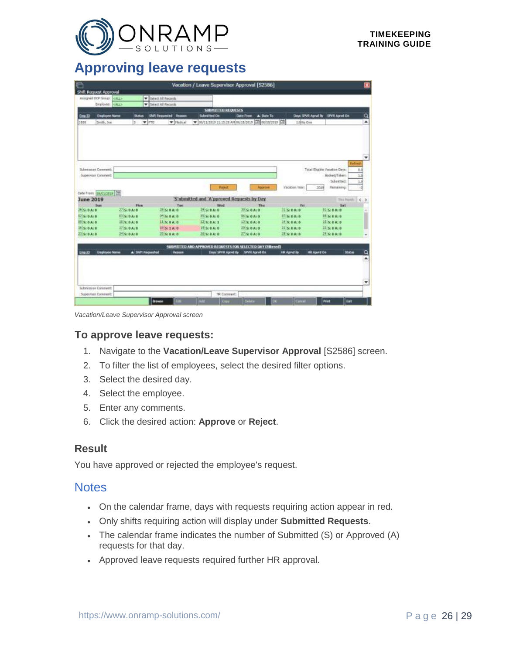

### <span id="page-25-0"></span>**Approving leave requests**

| ٣                               |                                                                                                                    |                                                   |                                            | Vacation / Leave Supervisor Approval [S2586]                |                                        |                                     | ×                 |
|---------------------------------|--------------------------------------------------------------------------------------------------------------------|---------------------------------------------------|--------------------------------------------|-------------------------------------------------------------|----------------------------------------|-------------------------------------|-------------------|
| Shift Request Approval          |                                                                                                                    |                                                   |                                            |                                                             |                                        |                                     |                   |
| Assigned DCP Group: CELL's      |                                                                                                                    | V Select All Recards                              |                                            |                                                             |                                        |                                     |                   |
| Employee: CALL>                 |                                                                                                                    | <b>W</b> Select AT Records                        |                                            |                                                             |                                        |                                     |                   |
|                                 |                                                                                                                    |                                                   | SUBMITTED REQUESTS                         |                                                             |                                        |                                     |                   |
| Emp.30<br><b>Englisyee Name</b> | <b>Status</b>                                                                                                      | <b>Shift Requested Reason</b>                     | Submitted On                               | A Date To<br><b>Date From:</b>                              |                                        | SPVR Aprod On<br>Days SPVR Aprvd By | a                 |
| Smith, Joe<br>1880              | $5.$ $\blacktriangleright$ $\blacktriangleright$ $\blacktriangleright$ $\blacktriangleright$ $\blacktriangleright$ | <b>W. Netical</b>                                 |                                            | V 00/11/2819 12:15:28 AP 06/18/2019 2010 06/18/2019 20      | 1.00No One                             |                                     | ۸                 |
|                                 |                                                                                                                    |                                                   |                                            |                                                             |                                        |                                     |                   |
|                                 |                                                                                                                    |                                                   |                                            |                                                             |                                        |                                     |                   |
|                                 |                                                                                                                    |                                                   |                                            |                                                             |                                        |                                     |                   |
|                                 |                                                                                                                    |                                                   |                                            |                                                             |                                        |                                     | ٠                 |
| Submission Comment:             |                                                                                                                    |                                                   |                                            |                                                             |                                        | Total fligible Vacation Days:       | Eefresh<br>8.15   |
| Supervisor Constent:            |                                                                                                                    |                                                   |                                            |                                                             |                                        | Buoked/Tokervi                      | 2.0               |
|                                 |                                                                                                                    |                                                   |                                            |                                                             |                                        | Submitted:                          | 2.0               |
|                                 |                                                                                                                    |                                                   | Relett                                     | Asprove                                                     | Vacation Year:                         | Remaining<br>2019                   |                   |
| Date From: 05/01/2819 (Cf)      |                                                                                                                    |                                                   |                                            |                                                             |                                        |                                     |                   |
| <b>June 2019</b>                |                                                                                                                    |                                                   | 'S'ubmitted and 'A'pproved Requests by Day |                                                             |                                        |                                     | Tini March<br>6.3 |
| <b>Size</b>                     | <b>Hon</b>                                                                                                         | Tue                                               | Wed                                        | Tilett                                                      | Fr1                                    | Sat                                 |                   |
| $25$ S: BAID                    | $27$ <sub>S:BAI</sub> B                                                                                            | 28 SI 0 ALB                                       | $25$ S: D A: D                             | 30,510A10                                                   | $32$ <sub>S</sub> $B$ A <sub>1</sub> D | <b>81 S: BAI B</b>                  |                   |
| $12$ S: 0 A: 0                  | $0$ SIGAID                                                                                                         | $0 + S_1 0 A_1 0$                                 | 15 S; 0A; 0                                | 06.510A/0                                                   | 1750010                                | <b>BESIDAD</b>                      |                   |
| $19 \leq 0 A: 0$                | 115:0A:0                                                                                                           | 115:0A:0                                          | $12$ S: 0 A: 1                             | 1750A:0                                                     | 3450A0                                 | 1550A:0                             |                   |
| $18$ S: D A: B                  | $17$ S: 0 A: 0                                                                                                     | $18$ <sub>3</sub> c <sub>1</sub> A <sub>1</sub> 0 | 19 St 0 At 0                               | 20 5t 0 At 0                                                | $23$ Sc D At B                         | 22 St 0 At 0                        |                   |
| $33$ S: 0 A: 0                  | 34600000                                                                                                           | 7680A0                                            | $36$ <sub>S</sub> -bA-b                    | 77500A:0                                                    | $38$ S: DA: D                          | 386: 83: 8                          |                   |
|                                 |                                                                                                                    |                                                   |                                            | SUBMITTED AND APPROVED REQUESTS FOR SELECTED DAY (Filtered) |                                        |                                     |                   |
|                                 |                                                                                                                    |                                                   |                                            | Days SPVR Aprvd By SPVR Aprvd On                            | <b>IRLADIVE By</b>                     | <b>HR Apved On</b>                  |                   |
| <b>Englished Name</b><br>Emp.30 | A Shift Requested                                                                                                  | Reason                                            |                                            |                                                             |                                        |                                     | Status            |

*Vacation/Leave Supervisor Approval screen*

#### **To approve leave requests:**

- 1. Navigate to the **Vacation/Leave Supervisor Approval** [S2586] screen.
- 2. To filter the list of employees, select the desired filter options.
- 3. Select the desired day.
- 4. Select the employee.
- 5. Enter any comments.
- 6. Click the desired action: **Approve** or **Reject**.

#### **Result**

You have approved or rejected the employee's request.

- On the calendar frame, days with requests requiring action appear in red.
- Only shifts requiring action will display under **Submitted Requests**.
- The calendar frame indicates the number of Submitted (S) or Approved (A) requests for that day.
- Approved leave requests required further HR approval.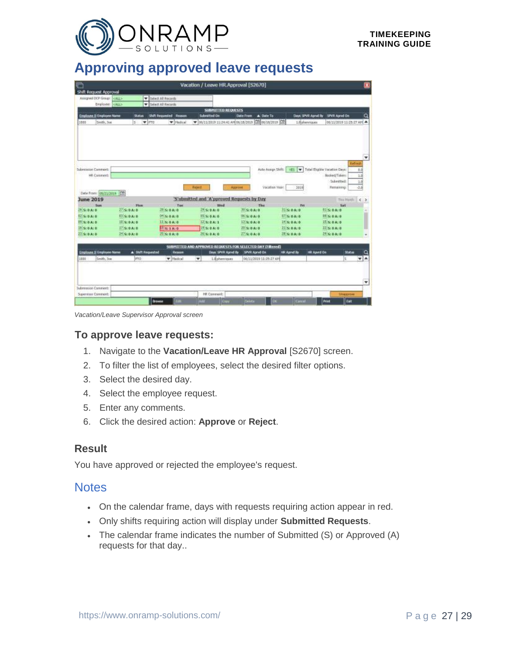

### <span id="page-26-0"></span>**Approving approved leave requests**

|                           |                                                                                                                                                                                                                                                                                                                           |                                                                                                                                                      |                                            | Vacation / Leave HR.Approval [S2670]                                                                                                                                                 |                                                                                                                           |                                                                                                                                                                    |                                                                                                                                                                                                                                                                                               |                                                                                                                                                                                                                                                                   |
|---------------------------|---------------------------------------------------------------------------------------------------------------------------------------------------------------------------------------------------------------------------------------------------------------------------------------------------------------------------|------------------------------------------------------------------------------------------------------------------------------------------------------|--------------------------------------------|--------------------------------------------------------------------------------------------------------------------------------------------------------------------------------------|---------------------------------------------------------------------------------------------------------------------------|--------------------------------------------------------------------------------------------------------------------------------------------------------------------|-----------------------------------------------------------------------------------------------------------------------------------------------------------------------------------------------------------------------------------------------------------------------------------------------|-------------------------------------------------------------------------------------------------------------------------------------------------------------------------------------------------------------------------------------------------------------------|
| Shift Request Approval    |                                                                                                                                                                                                                                                                                                                           |                                                                                                                                                      |                                            |                                                                                                                                                                                      |                                                                                                                           |                                                                                                                                                                    |                                                                                                                                                                                                                                                                                               |                                                                                                                                                                                                                                                                   |
|                           |                                                                                                                                                                                                                                                                                                                           |                                                                                                                                                      |                                            |                                                                                                                                                                                      |                                                                                                                           |                                                                                                                                                                    |                                                                                                                                                                                                                                                                                               |                                                                                                                                                                                                                                                                   |
|                           |                                                                                                                                                                                                                                                                                                                           |                                                                                                                                                      |                                            |                                                                                                                                                                                      |                                                                                                                           |                                                                                                                                                                    |                                                                                                                                                                                                                                                                                               |                                                                                                                                                                                                                                                                   |
|                           |                                                                                                                                                                                                                                                                                                                           |                                                                                                                                                      |                                            |                                                                                                                                                                                      |                                                                                                                           |                                                                                                                                                                    |                                                                                                                                                                                                                                                                                               |                                                                                                                                                                                                                                                                   |
|                           |                                                                                                                                                                                                                                                                                                                           |                                                                                                                                                      |                                            |                                                                                                                                                                                      |                                                                                                                           |                                                                                                                                                                    |                                                                                                                                                                                                                                                                                               |                                                                                                                                                                                                                                                                   |
|                           |                                                                                                                                                                                                                                                                                                                           |                                                                                                                                                      |                                            |                                                                                                                                                                                      |                                                                                                                           |                                                                                                                                                                    |                                                                                                                                                                                                                                                                                               | 06/11/2019 11:25:27 AM                                                                                                                                                                                                                                            |
|                           |                                                                                                                                                                                                                                                                                                                           |                                                                                                                                                      |                                            |                                                                                                                                                                                      |                                                                                                                           |                                                                                                                                                                    |                                                                                                                                                                                                                                                                                               |                                                                                                                                                                                                                                                                   |
|                           |                                                                                                                                                                                                                                                                                                                           |                                                                                                                                                      |                                            |                                                                                                                                                                                      |                                                                                                                           |                                                                                                                                                                    |                                                                                                                                                                                                                                                                                               |                                                                                                                                                                                                                                                                   |
|                           |                                                                                                                                                                                                                                                                                                                           |                                                                                                                                                      |                                            |                                                                                                                                                                                      |                                                                                                                           |                                                                                                                                                                    |                                                                                                                                                                                                                                                                                               |                                                                                                                                                                                                                                                                   |
|                           |                                                                                                                                                                                                                                                                                                                           |                                                                                                                                                      |                                            |                                                                                                                                                                                      |                                                                                                                           |                                                                                                                                                                    |                                                                                                                                                                                                                                                                                               |                                                                                                                                                                                                                                                                   |
|                           |                                                                                                                                                                                                                                                                                                                           |                                                                                                                                                      |                                            |                                                                                                                                                                                      |                                                                                                                           |                                                                                                                                                                    |                                                                                                                                                                                                                                                                                               | ٠                                                                                                                                                                                                                                                                 |
|                           |                                                                                                                                                                                                                                                                                                                           |                                                                                                                                                      |                                            |                                                                                                                                                                                      |                                                                                                                           |                                                                                                                                                                    |                                                                                                                                                                                                                                                                                               | Eefresh                                                                                                                                                                                                                                                           |
|                           |                                                                                                                                                                                                                                                                                                                           |                                                                                                                                                      |                                            |                                                                                                                                                                                      |                                                                                                                           |                                                                                                                                                                    |                                                                                                                                                                                                                                                                                               | 6.19                                                                                                                                                                                                                                                              |
|                           |                                                                                                                                                                                                                                                                                                                           |                                                                                                                                                      |                                            |                                                                                                                                                                                      |                                                                                                                           |                                                                                                                                                                    |                                                                                                                                                                                                                                                                                               | 2.0                                                                                                                                                                                                                                                               |
|                           |                                                                                                                                                                                                                                                                                                                           |                                                                                                                                                      |                                            |                                                                                                                                                                                      |                                                                                                                           |                                                                                                                                                                    |                                                                                                                                                                                                                                                                                               | 2.0                                                                                                                                                                                                                                                               |
|                           |                                                                                                                                                                                                                                                                                                                           |                                                                                                                                                      |                                            |                                                                                                                                                                                      |                                                                                                                           |                                                                                                                                                                    |                                                                                                                                                                                                                                                                                               | $-2.0$                                                                                                                                                                                                                                                            |
|                           |                                                                                                                                                                                                                                                                                                                           |                                                                                                                                                      |                                            |                                                                                                                                                                                      |                                                                                                                           |                                                                                                                                                                    |                                                                                                                                                                                                                                                                                               |                                                                                                                                                                                                                                                                   |
|                           |                                                                                                                                                                                                                                                                                                                           |                                                                                                                                                      |                                            |                                                                                                                                                                                      |                                                                                                                           |                                                                                                                                                                    |                                                                                                                                                                                                                                                                                               | TireMarch C. S.                                                                                                                                                                                                                                                   |
|                           |                                                                                                                                                                                                                                                                                                                           |                                                                                                                                                      |                                            |                                                                                                                                                                                      |                                                                                                                           |                                                                                                                                                                    |                                                                                                                                                                                                                                                                                               |                                                                                                                                                                                                                                                                   |
|                           |                                                                                                                                                                                                                                                                                                                           |                                                                                                                                                      |                                            |                                                                                                                                                                                      |                                                                                                                           |                                                                                                                                                                    |                                                                                                                                                                                                                                                                                               |                                                                                                                                                                                                                                                                   |
|                           |                                                                                                                                                                                                                                                                                                                           |                                                                                                                                                      |                                            |                                                                                                                                                                                      |                                                                                                                           |                                                                                                                                                                    |                                                                                                                                                                                                                                                                                               |                                                                                                                                                                                                                                                                   |
|                           |                                                                                                                                                                                                                                                                                                                           |                                                                                                                                                      |                                            |                                                                                                                                                                                      |                                                                                                                           |                                                                                                                                                                    |                                                                                                                                                                                                                                                                                               |                                                                                                                                                                                                                                                                   |
|                           |                                                                                                                                                                                                                                                                                                                           |                                                                                                                                                      |                                            |                                                                                                                                                                                      |                                                                                                                           |                                                                                                                                                                    |                                                                                                                                                                                                                                                                                               |                                                                                                                                                                                                                                                                   |
|                           |                                                                                                                                                                                                                                                                                                                           |                                                                                                                                                      |                                            |                                                                                                                                                                                      |                                                                                                                           |                                                                                                                                                                    |                                                                                                                                                                                                                                                                                               |                                                                                                                                                                                                                                                                   |
|                           |                                                                                                                                                                                                                                                                                                                           |                                                                                                                                                      |                                            |                                                                                                                                                                                      |                                                                                                                           |                                                                                                                                                                    |                                                                                                                                                                                                                                                                                               |                                                                                                                                                                                                                                                                   |
| Employee Il Employee Name |                                                                                                                                                                                                                                                                                                                           |                                                                                                                                                      |                                            | Days SPVR Aprvd By                                                                                                                                                                   | SPAR Aprud On                                                                                                             | <b>HR Aprvd By</b>                                                                                                                                                 | <b>HR Apved On</b>                                                                                                                                                                                                                                                                            | Status<br>o                                                                                                                                                                                                                                                       |
| Smith, Joe                | <b>PTO</b>                                                                                                                                                                                                                                                                                                                | W Medical                                                                                                                                            | $\blacktriangledown$                       | 1.8 phenosass                                                                                                                                                                        | 06/11/2019 11:25:27 AM                                                                                                    |                                                                                                                                                                    |                                                                                                                                                                                                                                                                                               | $F_A$<br>ls:                                                                                                                                                                                                                                                      |
|                           |                                                                                                                                                                                                                                                                                                                           |                                                                                                                                                      |                                            |                                                                                                                                                                                      |                                                                                                                           |                                                                                                                                                                    |                                                                                                                                                                                                                                                                                               |                                                                                                                                                                                                                                                                   |
|                           | Assigned DCP Group: <bld><br/>Employee. Il Employee Name<br/>Smith, Joe<br/>Submitation Comment:<br/>HR Commert:<br/><b>June 2019</b><br/><b>Size</b><br/>25 S; B.A; B.<br/>12S<sub>0</sub>0A<sub>1</sub>0<br/>1950.040<br/><math>18</math>SIDAIB<br/><math>23</math><sub>S:</sub> <math>0</math> A: <math>0</math></bld> | <b>Statist</b><br>Date Franci 05/21/2019   CE<br><b>Hon</b><br>$27$ <sub>S:BAI</sub> B<br>$0.1500$ to the D<br>115.040<br>17500A00<br>$34$ S: 0 A: 0 | $5$ $\P$ $PTG$<br><b>A Shift Requested</b> | V Select All Recards<br><b>W</b> Select AT Records<br>Shift Requested Reason<br><b>W. Netical</b><br>Tue<br>28 SI 0 ALB<br>$0 + S_0 0 A$<br>1150A:0<br>18.5:1A:0<br>5.0432<br>Reason | Submitted On<br><b>Report</b><br>Wed<br>$25$ S: D A: D<br>15 S; 0A; 0<br>$12$ S: 0 A: 1<br>15 S: 0 A: 0<br>$36$ S: B A: B | <b>SUBMITTED REQUESTS</b><br>Approve<br>'S'ubmitted and 'A'pproved Requests by Day<br>Tilett<br>30,510A10<br>06.5r0 Ar0<br>13.5:0A:0<br>$20$ st 0 At 0<br>77500A:0 | Date From A. Date To<br>V 00/11/2319 11:20:41 AM 06/15/2019 00/10/2019 00<br>Vacation Years<br>2550<br><b>Tri</b><br>$32$ <sub>S</sub> $B$ A <sub>1</sub> D<br>1750010<br>1450A0<br>$23$ S: 0 A: 0<br>$38$ <sub>S: DA: D</sub><br>SUBMITTED AND APPROVED REQUESTS FOR SELECTED DAY (Filtered) | SPVR Aprod On<br>Days SPVR Aprvd By<br>1.0 phieriques<br>Asto Assign Shift: 1955 W Total Eligible Vacation Days:<br>Booked/Tokey<br>Submitted:<br>Renaining<br>Sat<br><b>81 S.B.A.D.</b><br><b>BS SIDAIO</b><br>$15$ S: 0 A: 0<br>$22 S_2 B_4 B_1 $<br>386: 83: 8 |

*Vacation/Leave Supervisor Approval screen*

#### **To approve leave requests:**

- 1. Navigate to the **Vacation/Leave HR Approval** [S2670] screen.
- 2. To filter the list of employees, select the desired filter options.
- 3. Select the desired day.
- 4. Select the employee request.
- 5. Enter any comments.
- 6. Click the desired action: **Approve** or **Reject**.

#### **Result**

You have approved or rejected the employee's request.

- On the calendar frame, days with requests requiring action appear in red.
- Only shifts requiring action will display under **Submitted Requests**.
- The calendar frame indicates the number of Submitted (S) or Approved (A) requests for that day..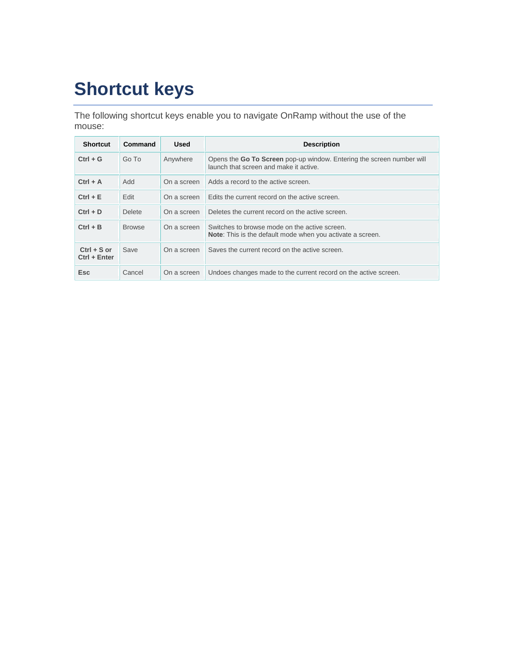# <span id="page-27-0"></span>**Shortcut keys**

The following shortcut keys enable you to navigate OnRamp without the use of the mouse:

| <b>Shortcut</b>                 | Command       | <b>Used</b> | <b>Description</b>                                                                                                 |
|---------------------------------|---------------|-------------|--------------------------------------------------------------------------------------------------------------------|
| $Ctrl + G$                      | Go To         | Anywhere    | Opens the Go To Screen pop-up window. Entering the screen number will<br>launch that screen and make it active.    |
| $Ctrl + A$                      | Add           | On a screen | Adds a record to the active screen.                                                                                |
| $Ctrl + E$                      | Edit          | On a screen | Edits the current record on the active screen.                                                                     |
| $Ctrl + D$                      | <b>Delete</b> | On a screen | Deletes the current record on the active screen.                                                                   |
| $Ctrl + B$                      | <b>Browse</b> | On a screen | Switches to browse mode on the active screen.<br><b>Note:</b> This is the default mode when you activate a screen. |
| $Ctrl + S$ or<br>$Ctrl + Enter$ | Save          | On a screen | Saves the current record on the active screen.                                                                     |
| <b>Esc</b>                      | Cancel        | On a screen | Undoes changes made to the current record on the active screen.                                                    |